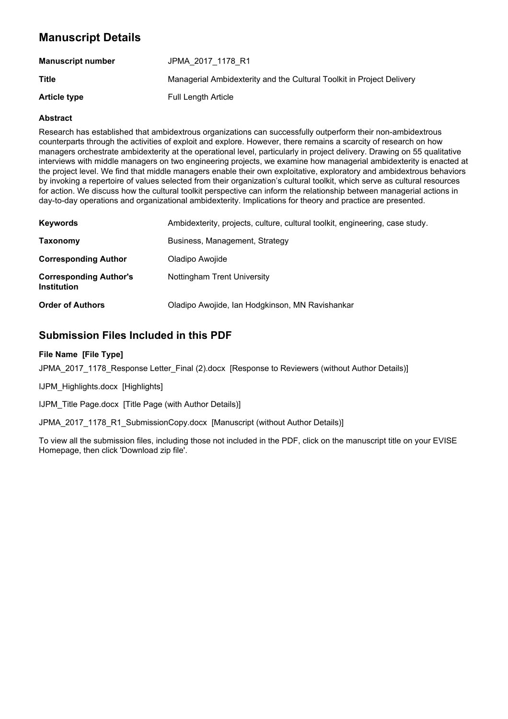## **Manuscript Details**

| <b>Manuscript number</b> | JPMA 2017 1178 R1                                                     |  |
|--------------------------|-----------------------------------------------------------------------|--|
| <b>Title</b>             | Managerial Ambidexterity and the Cultural Toolkit in Project Delivery |  |
| <b>Article type</b>      | Full Length Article                                                   |  |

#### **Abstract**

Research has established that ambidextrous organizations can successfully outperform their non-ambidextrous counterparts through the activities of exploit and explore. However, there remains a scarcity of research on how managers orchestrate ambidexterity at the operational level, particularly in project delivery. Drawing on 55 qualitative interviews with middle managers on two engineering projects, we examine how managerial ambidexterity is enacted at the project level. We find that middle managers enable their own exploitative, exploratory and ambidextrous behaviors by invoking a repertoire of values selected from their organization's cultural toolkit, which serve as cultural resources for action. We discuss how the cultural toolkit perspective can inform the relationship between managerial actions in day-to-day operations and organizational ambidexterity. Implications for theory and practice are presented.

| <b>Keywords</b>                                     | Ambidexterity, projects, culture, cultural toolkit, engineering, case study. |
|-----------------------------------------------------|------------------------------------------------------------------------------|
| Taxonomy                                            | Business, Management, Strategy                                               |
| <b>Corresponding Author</b>                         | Oladipo Awojide                                                              |
| <b>Corresponding Author's</b><br><b>Institution</b> | Nottingham Trent University                                                  |
| <b>Order of Authors</b>                             | Oladipo Awojide, Ian Hodgkinson, MN Ravishankar                              |

## **Submission Files Included in this PDF**

#### **File Name [File Type]**

JPMA\_2017\_1178\_Response Letter\_Final (2).docx [Response to Reviewers (without Author Details)]

IJPM\_Highlights.docx [Highlights]

IJPM\_Title Page.docx [Title Page (with Author Details)]

JPMA\_2017\_1178\_R1\_SubmissionCopy.docx [Manuscript (without Author Details)]

To view all the submission files, including those not included in the PDF, click on the manuscript title on your EVISE Homepage, then click 'Download zip file'.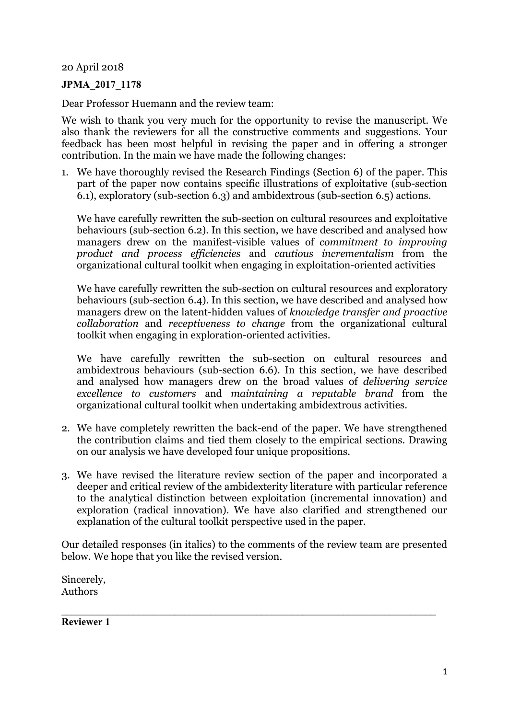## 20 April 2018 **JPMA\_2017\_1178**

Dear Professor Huemann and the review team:

We wish to thank you very much for the opportunity to revise the manuscript. We also thank the reviewers for all the constructive comments and suggestions. Your feedback has been most helpful in revising the paper and in offering a stronger contribution. In the main we have made the following changes:

1. We have thoroughly revised the Research Findings (Section 6) of the paper. This part of the paper now contains specific illustrations of exploitative (sub-section 6.1), exploratory (sub-section 6.3) and ambidextrous (sub-section 6.5) actions.

We have carefully rewritten the sub-section on cultural resources and exploitative behaviours (sub-section 6.2). In this section, we have described and analysed how managers drew on the manifest-visible values of *commitment to improving product and process efficiencies* and *cautious incrementalism* from the organizational cultural toolkit when engaging in exploitation-oriented activities

We have carefully rewritten the sub-section on cultural resources and exploratory behaviours (sub-section 6.4). In this section, we have described and analysed how managers drew on the latent-hidden values of *knowledge transfer and proactive collaboration* and *receptiveness to change* from the organizational cultural toolkit when engaging in exploration-oriented activities.

We have carefully rewritten the sub-section on cultural resources and ambidextrous behaviours (sub-section 6.6). In this section, we have described and analysed how managers drew on the broad values of *delivering service excellence to customers* and *maintaining a reputable brand* from the organizational cultural toolkit when undertaking ambidextrous activities.

- 2. We have completely rewritten the back-end of the paper. We have strengthened the contribution claims and tied them closely to the empirical sections. Drawing on our analysis we have developed four unique propositions.
- 3. We have revised the literature review section of the paper and incorporated a deeper and critical review of the ambidexterity literature with particular reference to the analytical distinction between exploitation (incremental innovation) and exploration (radical innovation). We have also clarified and strengthened our explanation of the cultural toolkit perspective used in the paper.

Our detailed responses (in italics) to the comments of the review team are presented below. We hope that you like the revised version.

Sincerely, Authors

**Reviewer 1**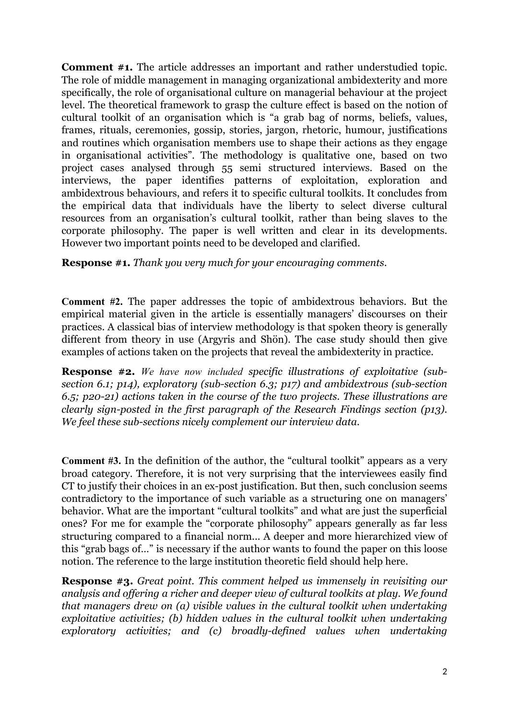**Comment #1.** The article addresses an important and rather understudied topic. The role of middle management in managing organizational ambidexterity and more specifically, the role of organisational culture on managerial behaviour at the project level. The theoretical framework to grasp the culture effect is based on the notion of cultural toolkit of an organisation which is "a grab bag of norms, beliefs, values, frames, rituals, ceremonies, gossip, stories, jargon, rhetoric, humour, justifications and routines which organisation members use to shape their actions as they engage in organisational activities". The methodology is qualitative one, based on two project cases analysed through 55 semi structured interviews. Based on the interviews, the paper identifies patterns of exploitation, exploration and ambidextrous behaviours, and refers it to specific cultural toolkits. It concludes from the empirical data that individuals have the liberty to select diverse cultural resources from an organisation's cultural toolkit, rather than being slaves to the corporate philosophy. The paper is well written and clear in its developments. However two important points need to be developed and clarified.

**Response #1.** *Thank you very much for your encouraging comments*.

**Comment #2.** The paper addresses the topic of ambidextrous behaviors. But the empirical material given in the article is essentially managers' discourses on their practices. A classical bias of interview methodology is that spoken theory is generally different from theory in use (Argyris and Shön). The case study should then give examples of actions taken on the projects that reveal the ambidexterity in practice.

**Response #2.** *We have now included specific illustrations of exploitative (subsection 6.1; p14), exploratory (sub-section 6.3; p17) and ambidextrous (sub-section 6.5; p20-21) actions taken in the course of the two projects. These illustrations are clearly sign-posted in the first paragraph of the Research Findings section (p13). We feel these sub-sections nicely complement our interview data.* 

**Comment #3.** In the definition of the author, the "cultural toolkit" appears as a very broad category. Therefore, it is not very surprising that the interviewees easily find CT to justify their choices in an ex-post justification. But then, such conclusion seems contradictory to the importance of such variable as a structuring one on managers' behavior. What are the important "cultural toolkits" and what are just the superficial ones? For me for example the "corporate philosophy" appears generally as far less structuring compared to a financial norm... A deeper and more hierarchized view of this "grab bags of…" is necessary if the author wants to found the paper on this loose notion. The reference to the large institution theoretic field should help here.

**Response #3.** *Great point. This comment helped us immensely in revisiting our analysis and offering a richer and deeper view of cultural toolkits at play. We found that managers drew on (a) visible values in the cultural toolkit when undertaking exploitative activities; (b) hidden values in the cultural toolkit when undertaking exploratory activities; and (c) broadly-defined values when undertaking*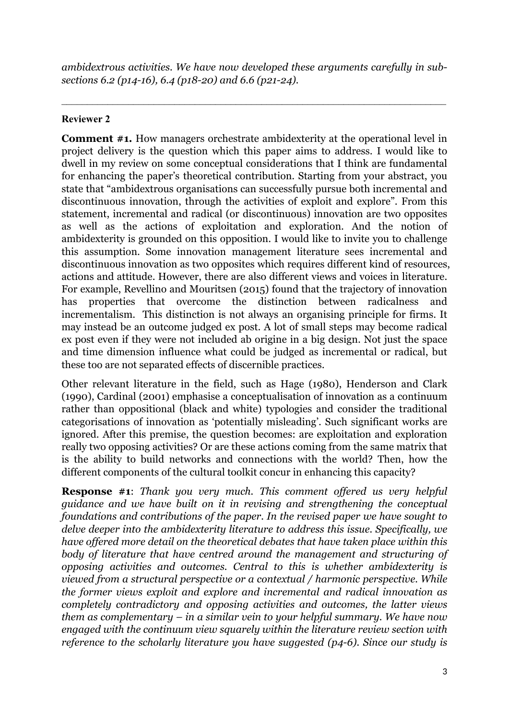*ambidextrous activities. We have now developed these arguments carefully in subsections 6.2 (p14-16), 6.4 (p18-20) and 6.6 (p21-24).* 

 $\_$  , and the contribution of the contribution of the contribution of the contribution of  $\mathcal{L}_\text{max}$ 

### **Reviewer 2**

**Comment #1.** How managers orchestrate ambidexterity at the operational level in project delivery is the question which this paper aims to address. I would like to dwell in my review on some conceptual considerations that I think are fundamental for enhancing the paper's theoretical contribution. Starting from your abstract, you state that "ambidextrous organisations can successfully pursue both incremental and discontinuous innovation, through the activities of exploit and explore". From this statement, incremental and radical (or discontinuous) innovation are two opposites as well as the actions of exploitation and exploration. And the notion of ambidexterity is grounded on this opposition. I would like to invite you to challenge this assumption. Some innovation management literature sees incremental and discontinuous innovation as two opposites which requires different kind of resources, actions and attitude. However, there are also different views and voices in literature. For example, Revellino and Mouritsen (2015) found that the trajectory of innovation has properties that overcome the distinction between radicalness and incrementalism. This distinction is not always an organising principle for firms. It may instead be an outcome judged ex post. A lot of small steps may become radical ex post even if they were not included ab origine in a big design. Not just the space and time dimension influence what could be judged as incremental or radical, but these too are not separated effects of discernible practices.

Other relevant literature in the field, such as Hage (1980), Henderson and Clark (1990), Cardinal (2001) emphasise a conceptualisation of innovation as a continuum rather than oppositional (black and white) typologies and consider the traditional categorisations of innovation as 'potentially misleading'. Such significant works are ignored. After this premise, the question becomes: are exploitation and exploration really two opposing activities? Or are these actions coming from the same matrix that is the ability to build networks and connections with the world? Then, how the different components of the cultural toolkit concur in enhancing this capacity?

**Response #1**: *Thank you very much. This comment offered us very helpful guidance and we have built on it in revising and strengthening the conceptual foundations and contributions of the paper. In the revised paper we have sought to delve deeper into the ambidexterity literature to address this issue. Specifically, we have offered more detail on the theoretical debates that have taken place within this body of literature that have centred around the management and structuring of opposing activities and outcomes. Central to this is whether ambidexterity is viewed from a structural perspective or a contextual / harmonic perspective. While the former views exploit and explore and incremental and radical innovation as completely contradictory and opposing activities and outcomes, the latter views them as complementary – in a similar vein to your helpful summary. We have now engaged with the continuum view squarely within the literature review section with reference to the scholarly literature you have suggested (p4-6). Since our study is*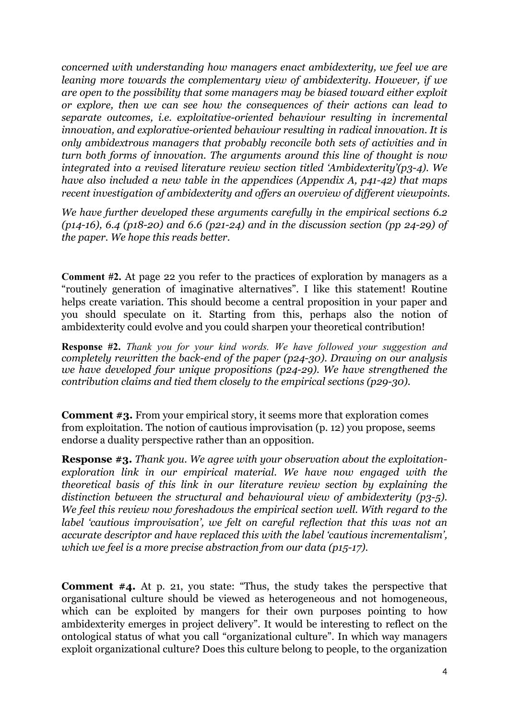*concerned with understanding how managers enact ambidexterity, we feel we are leaning more towards the complementary view of ambidexterity. However, if we are open to the possibility that some managers may be biased toward either exploit or explore, then we can see how the consequences of their actions can lead to separate outcomes, i.e. exploitative-oriented behaviour resulting in incremental innovation, and explorative-oriented behaviour resulting in radical innovation. It is only ambidextrous managers that probably reconcile both sets of activities and in turn both forms of innovation. The arguments around this line of thought is now integrated into a revised literature review section titled 'Ambidexterity'(p3-4). We have also included a new table in the appendices (Appendix A, p41-42) that maps recent investigation of ambidexterity and offers an overview of different viewpoints.*

*We have further developed these arguments carefully in the empirical sections 6.2 (p14-16), 6.4 (p18-20) and 6.6 (p21-24) and in the discussion section (pp 24-29) of the paper. We hope this reads better.* 

**Comment #2.** At page 22 you refer to the practices of exploration by managers as a "routinely generation of imaginative alternatives". I like this statement! Routine helps create variation. This should become a central proposition in your paper and you should speculate on it. Starting from this, perhaps also the notion of ambidexterity could evolve and you could sharpen your theoretical contribution!

**Response #2.** *Thank you for your kind words. We have followed your suggestion and completely rewritten the back-end of the paper (p24-30). Drawing on our analysis we have developed four unique propositions (p24-29). We have strengthened the contribution claims and tied them closely to the empirical sections (p29-30).* 

**Comment #3.** From your empirical story, it seems more that exploration comes from exploitation. The notion of cautious improvisation (p. 12) you propose, seems endorse a duality perspective rather than an opposition.

**Response #3.** *Thank you. We agree with your observation about the exploitationexploration link in our empirical material. We have now engaged with the theoretical basis of this link in our literature review section by explaining the distinction between the structural and behavioural view of ambidexterity (p3-5). We feel this review now foreshadows the empirical section well. With regard to the label 'cautious improvisation', we felt on careful reflection that this was not an accurate descriptor and have replaced this with the label 'cautious incrementalism', which we feel is a more precise abstraction from our data (p15-17).*

**Comment #4.** At p. 21, you state: "Thus, the study takes the perspective that organisational culture should be viewed as heterogeneous and not homogeneous, which can be exploited by mangers for their own purposes pointing to how ambidexterity emerges in project delivery". It would be interesting to reflect on the ontological status of what you call "organizational culture". In which way managers exploit organizational culture? Does this culture belong to people, to the organization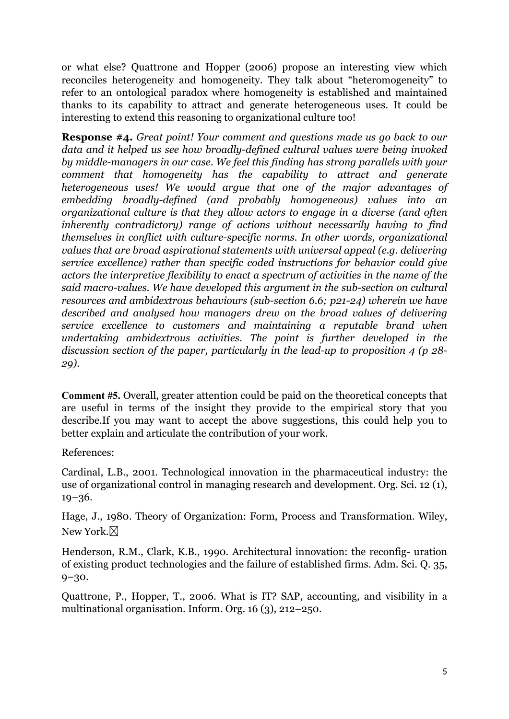or what else? Quattrone and Hopper (2006) propose an interesting view which reconciles heterogeneity and homogeneity. They talk about "heteromogeneity" to refer to an ontological paradox where homogeneity is established and maintained thanks to its capability to attract and generate heterogeneous uses. It could be interesting to extend this reasoning to organizational culture too!

**Response #4.** *Great point! Your comment and questions made us go back to our data and it helped us see how broadly-defined cultural values were being invoked by middle-managers in our case. We feel this finding has strong parallels with your comment that homogeneity has the capability to attract and generate heterogeneous uses! We would argue that one of the major advantages of embedding broadly-defined (and probably homogeneous) values into an organizational culture is that they allow actors to engage in a diverse (and often inherently contradictory) range of actions without necessarily having to find themselves in conflict with culture-specific norms. In other words, organizational values that are broad aspirational statements with universal appeal (e.g. delivering service excellence) rather than specific coded instructions for behavior could give actors the interpretive flexibility to enact a spectrum of activities in the name of the said macro-values. We have developed this argument in the sub-section on cultural resources and ambidextrous behaviours (sub-section 6.6; p21-24) wherein we have described and analysed how managers drew on the broad values of delivering service excellence to customers and maintaining a reputable brand when undertaking ambidextrous activities*. *The point is further developed in the discussion section of the paper, particularly in the lead-up to proposition 4 (p 28- 29).*

**Comment #5.** Overall, greater attention could be paid on the theoretical concepts that are useful in terms of the insight they provide to the empirical story that you describe.If you may want to accept the above suggestions, this could help you to better explain and articulate the contribution of your work.

References:

Cardinal, L.B., 2001. Technological innovation in the pharmaceutical industry: the use of organizational control in managing research and development. Org. Sci. 12 (1), 19–36.

Hage, J., 1980. Theory of Organization: Form, Process and Transformation. Wiley, New York. $\boxtimes$ 

Henderson, R.M., Clark, K.B., 1990. Architectural innovation: the reconfig- uration of existing product technologies and the failure of established firms. Adm. Sci. Q. 35, 9–30.

Quattrone, P., Hopper, T., 2006. What is IT? SAP, accounting, and visibility in a multinational organisation. Inform. Org. 16 (3), 212–250.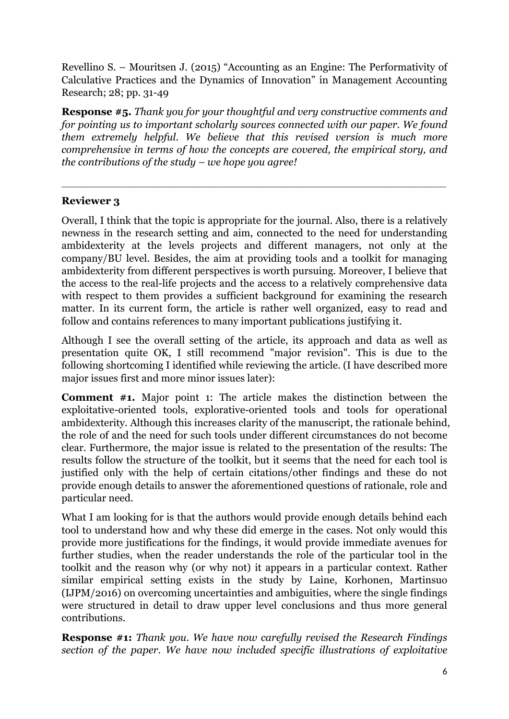Revellino S. – Mouritsen J. (2015) "Accounting as an Engine: The Performativity of Calculative Practices and the Dynamics of Innovation" in Management Accounting Research; 28; pp. 31-49

**Response #5.** *Thank you for your thoughtful and very constructive comments and for pointing us to important scholarly sources connected with our paper. We found them extremely helpful. We believe that this revised version is much more comprehensive in terms of how the concepts are covered, the empirical story, and the contributions of the study – we hope you agree!*

 $\_$  , and the contribution of the contribution of the contribution of the contribution of  $\mathcal{L}_\text{max}$ 

### **Reviewer 3**

Overall, I think that the topic is appropriate for the journal. Also, there is a relatively newness in the research setting and aim, connected to the need for understanding ambidexterity at the levels projects and different managers, not only at the company/BU level. Besides, the aim at providing tools and a toolkit for managing ambidexterity from different perspectives is worth pursuing. Moreover, I believe that the access to the real-life projects and the access to a relatively comprehensive data with respect to them provides a sufficient background for examining the research matter. In its current form, the article is rather well organized, easy to read and follow and contains references to many important publications justifying it.

Although I see the overall setting of the article, its approach and data as well as presentation quite OK, I still recommend "major revision". This is due to the following shortcoming I identified while reviewing the article. (I have described more major issues first and more minor issues later):

**Comment #1.** Major point 1: The article makes the distinction between the exploitative-oriented tools, explorative-oriented tools and tools for operational ambidexterity. Although this increases clarity of the manuscript, the rationale behind, the role of and the need for such tools under different circumstances do not become clear. Furthermore, the major issue is related to the presentation of the results: The results follow the structure of the toolkit, but it seems that the need for each tool is justified only with the help of certain citations/other findings and these do not provide enough details to answer the aforementioned questions of rationale, role and particular need.

What I am looking for is that the authors would provide enough details behind each tool to understand how and why these did emerge in the cases. Not only would this provide more justifications for the findings, it would provide immediate avenues for further studies, when the reader understands the role of the particular tool in the toolkit and the reason why (or why not) it appears in a particular context. Rather similar empirical setting exists in the study by Laine, Korhonen, Martinsuo (IJPM/2016) on overcoming uncertainties and ambiguities, where the single findings were structured in detail to draw upper level conclusions and thus more general contributions.

**Response #1:** *Thank you. We have now carefully revised the Research Findings section of the paper. We have now included specific illustrations of exploitative*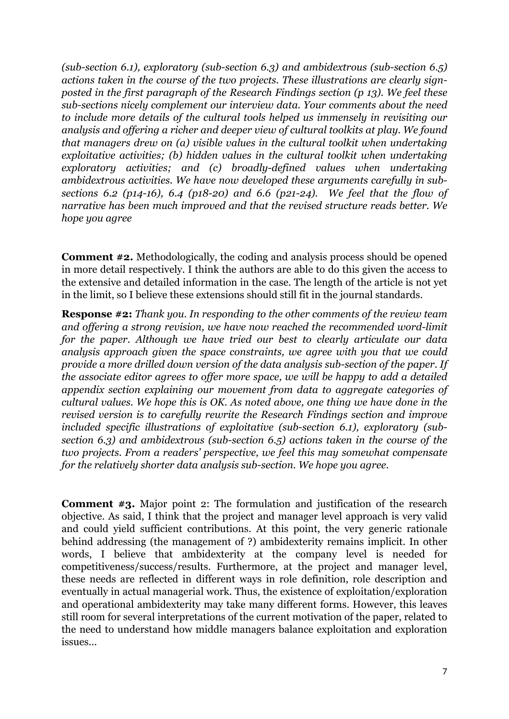*(sub-section 6.1), exploratory (sub-section 6.3) and ambidextrous (sub-section 6.5) actions taken in the course of the two projects. These illustrations are clearly signposted in the first paragraph of the Research Findings section (p 13). We feel these sub-sections nicely complement our interview data. Your comments about the need to include more details of the cultural tools helped us immensely in revisiting our analysis and offering a richer and deeper view of cultural toolkits at play. We found that managers drew on (a) visible values in the cultural toolkit when undertaking exploitative activities; (b) hidden values in the cultural toolkit when undertaking exploratory activities; and (c) broadly-defined values when undertaking ambidextrous activities. We have now developed these arguments carefully in subsections 6.2 (p14-16), 6.4 (p18-20) and 6.6 (p21-24). We feel that the flow of narrative has been much improved and that the revised structure reads better. We hope you agree*

**Comment #2.** Methodologically, the coding and analysis process should be opened in more detail respectively. I think the authors are able to do this given the access to the extensive and detailed information in the case. The length of the article is not yet in the limit, so I believe these extensions should still fit in the journal standards.

**Response #2:** *Thank you. In responding to the other comments of the review team and offering a strong revision, we have now reached the recommended word-limit for the paper. Although we have tried our best to clearly articulate our data analysis approach given the space constraints, we agree with you that we could provide a more drilled down version of the data analysis sub-section of the paper. If the associate editor agrees to offer more space, we will be happy to add a detailed appendix section explaining our movement from data to aggregate categories of cultural values. We hope this is OK. As noted above, one thing we have done in the revised version is to carefully rewrite the Research Findings section and improve included specific illustrations of exploitative (sub-section 6.1), exploratory (subsection 6.3) and ambidextrous (sub-section 6.5) actions taken in the course of the two projects. From a readers' perspective, we feel this may somewhat compensate for the relatively shorter data analysis sub-section. We hope you agree.*

**Comment #3.** Major point 2: The formulation and justification of the research objective. As said, I think that the project and manager level approach is very valid and could yield sufficient contributions. At this point, the very generic rationale behind addressing (the management of ?) ambidexterity remains implicit. In other words, I believe that ambidexterity at the company level is needed for competitiveness/success/results. Furthermore, at the project and manager level, these needs are reflected in different ways in role definition, role description and eventually in actual managerial work. Thus, the existence of exploitation/exploration and operational ambidexterity may take many different forms. However, this leaves still room for several interpretations of the current motivation of the paper, related to the need to understand how middle managers balance exploitation and exploration issues...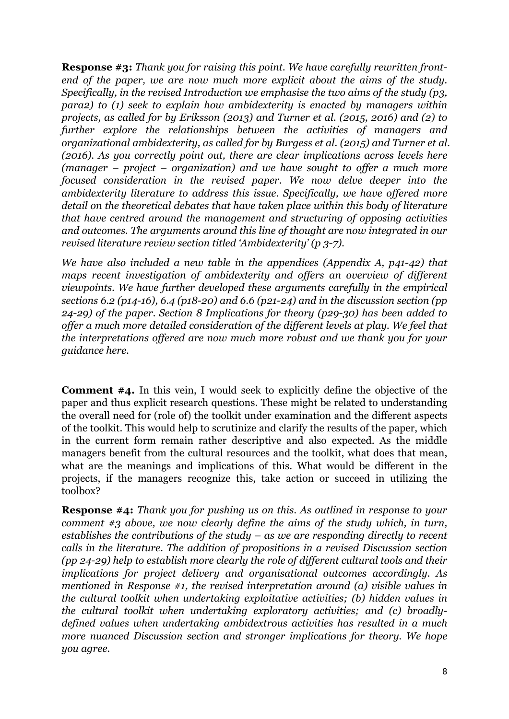**Response #3:** *Thank you for raising this point. We have carefully rewritten frontend of the paper, we are now much more explicit about the aims of the study. Specifically, in the revised Introduction we emphasise the two aims of the study (p3, para2) to (1) seek to explain how ambidexterity is enacted by managers within projects, as called for by Eriksson (2013) and Turner et al. (2015, 2016) and (2) to further explore the relationships between the activities of managers and organizational ambidexterity, as called for by Burgess et al. (2015) and Turner et al. (2016). As you correctly point out, there are clear implications across levels here (manager – project – organization) and we have sought to offer a much more focused consideration in the revised paper. We now delve deeper into the ambidexterity literature to address this issue. Specifically, we have offered more detail on the theoretical debates that have taken place within this body of literature that have centred around the management and structuring of opposing activities and outcomes. The arguments around this line of thought are now integrated in our revised literature review section titled 'Ambidexterity' (p 3-7).* 

*We have also included a new table in the appendices (Appendix A, p41-42) that maps recent investigation of ambidexterity and offers an overview of different viewpoints. We have further developed these arguments carefully in the empirical sections 6.2 (p14-16), 6.4 (p18-20) and 6.6 (p21-24) and in the discussion section (pp 24-29) of the paper. Section 8 Implications for theory (p29-30) has been added to offer a much more detailed consideration of the different levels at play. We feel that the interpretations offered are now much more robust and we thank you for your guidance here.*

**Comment #4.** In this vein, I would seek to explicitly define the objective of the paper and thus explicit research questions. These might be related to understanding the overall need for (role of) the toolkit under examination and the different aspects of the toolkit. This would help to scrutinize and clarify the results of the paper, which in the current form remain rather descriptive and also expected. As the middle managers benefit from the cultural resources and the toolkit, what does that mean, what are the meanings and implications of this. What would be different in the projects, if the managers recognize this, take action or succeed in utilizing the toolbox?

**Response #4:** *Thank you for pushing us on this. As outlined in response to your comment #3 above, we now clearly define the aims of the study which, in turn, establishes the contributions of the study – as we are responding directly to recent calls in the literature. The addition of propositions in a revised Discussion section (pp 24-29) help to establish more clearly the role of different cultural tools and their implications for project delivery and organisational outcomes accordingly. As mentioned in Response #1, the revised interpretation around (a) visible values in the cultural toolkit when undertaking exploitative activities; (b) hidden values in the cultural toolkit when undertaking exploratory activities; and (c) broadlydefined values when undertaking ambidextrous activities has resulted in a much more nuanced Discussion section and stronger implications for theory. We hope you agree.*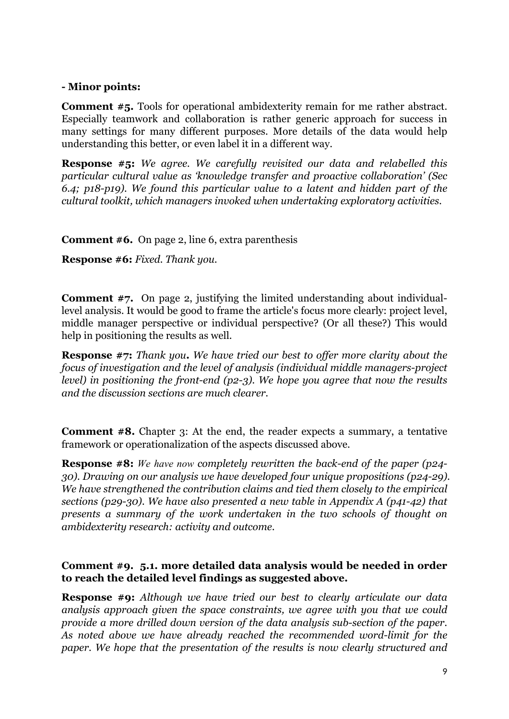### **- Minor points:**

**Comment #5.** Tools for operational ambidexterity remain for me rather abstract. Especially teamwork and collaboration is rather generic approach for success in many settings for many different purposes. More details of the data would help understanding this better, or even label it in a different way.

**Response #5:** *We agree. We carefully revisited our data and relabelled this particular cultural value as 'knowledge transfer and proactive collaboration' (Sec 6.4; p18-p19). We found this particular value to a latent and hidden part of the cultural toolkit, which managers invoked when undertaking exploratory activities.*

**Comment #6.** On page 2, line 6, extra parenthesis

**Response #6:** *Fixed. Thank you.*

**Comment #7.** On page 2, justifying the limited understanding about individuallevel analysis. It would be good to frame the article's focus more clearly: project level, middle manager perspective or individual perspective? (Or all these?) This would help in positioning the results as well.

**Response #7:** *Thank you***.** *We have tried our best to offer more clarity about the focus of investigation and the level of analysis (individual middle managers-project level) in positioning the front-end (p2-3). We hope you agree that now the results and the discussion sections are much clearer.*

**Comment #8.** Chapter 3: At the end, the reader expects a summary, a tentative framework or operationalization of the aspects discussed above.

**Response #8:** *We have now completely rewritten the back-end of the paper (p24- 30). Drawing on our analysis we have developed four unique propositions (p24-29). We have strengthened the contribution claims and tied them closely to the empirical sections (p29-30). We have also presented a new table in Appendix A (p41-42) that presents a summary of the work undertaken in the two schools of thought on ambidexterity research: activity and outcome.*

### **Comment #9. 5.1. more detailed data analysis would be needed in order to reach the detailed level findings as suggested above.**

**Response #9:** *Although we have tried our best to clearly articulate our data analysis approach given the space constraints, we agree with you that we could provide a more drilled down version of the data analysis sub-section of the paper. As noted above we have already reached the recommended word-limit for the paper. We hope that the presentation of the results is now clearly structured and*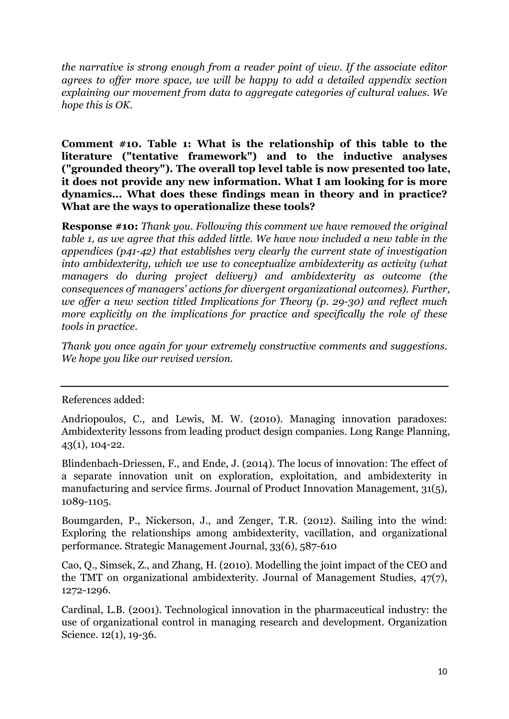*the narrative is strong enough from a reader point of view. If the associate editor agrees to offer more space, we will be happy to add a detailed appendix section explaining our movement from data to aggregate categories of cultural values. We hope this is OK.*

**Comment #10. Table 1: What is the relationship of this table to the literature ("tentative framework") and to the inductive analyses ("grounded theory"). The overall top level table is now presented too late, it does not provide any new information. What I am looking for is more dynamics... What does these findings mean in theory and in practice? What are the ways to operationalize these tools?**

**Response #10:** *Thank you. Following this comment we have removed the original table 1, as we agree that this added little. We have now included a new table in the appendices (p41-42) that establishes very clearly the current state of investigation into ambidexterity, which we use to conceptualize ambidexterity as activity (what managers do during project delivery) and ambidexterity as outcome (the consequences of managers' actions for divergent organizational outcomes). Further, we offer a new section titled Implications for Theory (p. 29-30) and reflect much more explicitly on the implications for practice and specifically the role of these tools in practice.*

*Thank you once again for your extremely constructive comments and suggestions. We hope you like our revised version.*

References added:

Andriopoulos, C., and Lewis, M. W. (2010). Managing innovation paradoxes: Ambidexterity lessons from leading product design companies. Long Range Planning, 43(1), 104-22.

Blindenbach-Driessen, F., and Ende, J. (2014). The locus of innovation: The effect of a separate innovation unit on exploration, exploitation, and ambidexterity in manufacturing and service firms. Journal of Product Innovation Management, 31(5), 1089-1105.

Boumgarden, P., Nickerson, J., and Zenger, T.R. (2012). Sailing into the wind: Exploring the relationships among ambidexterity, vacillation, and organizational performance. Strategic Management Journal, 33(6), 587-610

Cao, Q., Simsek, Z., and Zhang, H. (2010). Modelling the joint impact of the CEO and the TMT on organizational ambidexterity. Journal of Management Studies, 47(7), 1272-1296.

Cardinal, L.B. (2001). Technological innovation in the pharmaceutical industry: the use of organizational control in managing research and development. Organization Science. 12(1), 19-36.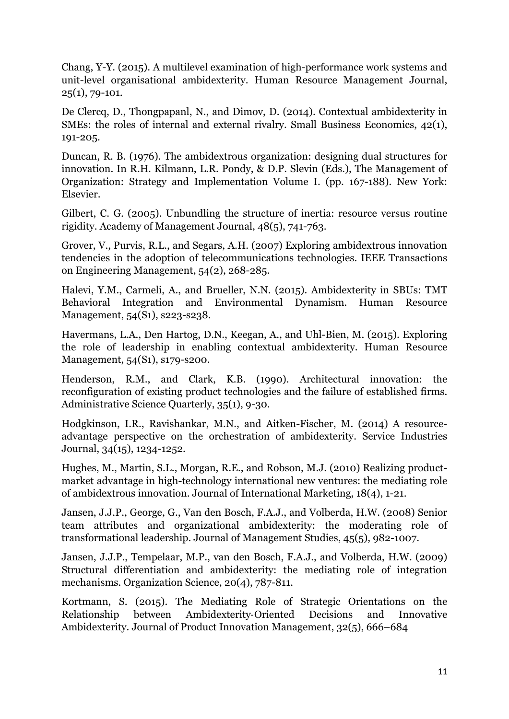Chang, Y-Y. (2015). A multilevel examination of high-performance work systems and unit-level organisational ambidexterity. Human Resource Management Journal, 25(1), 79-101.

De Clercq, D., Thongpapanl, N., and Dimov, D. (2014). Contextual ambidexterity in SMEs: the roles of internal and external rivalry. Small Business Economics, 42(1), 191-205.

Duncan, R. B. (1976). The ambidextrous organization: designing dual structures for innovation. In R.H. Kilmann, L.R. Pondy, & D.P. Slevin (Eds.), The Management of Organization: Strategy and Implementation Volume I. (pp. 167-188). New York: Elsevier.

Gilbert, C. G. (2005). Unbundling the structure of inertia: resource versus routine rigidity. Academy of Management Journal, 48(5), 741-763.

Grover, V., Purvis, R.L., and Segars, A.H. (2007) Exploring ambidextrous innovation tendencies in the adoption of telecommunications technologies. IEEE Transactions on Engineering Management, 54(2), 268-285.

Halevi, Y.M., Carmeli, A., and Brueller, N.N. (2015). Ambidexterity in SBUs: TMT Behavioral Integration and Environmental Dynamism. Human Resource Management, 54(S1), s223-s238.

Havermans, L.A., Den Hartog, D.N., Keegan, A., and Uhl-Bien, M. (2015). Exploring the role of leadership in enabling contextual ambidexterity. Human Resource Management, 54(S1), s179-s200.

Henderson, R.M., and Clark, K.B. (1990). Architectural innovation: the reconfiguration of existing product technologies and the failure of established firms. Administrative Science Quarterly, 35(1), 9-30.

Hodgkinson, I.R., Ravishankar, M.N., and Aitken-Fischer, M. (2014) A resourceadvantage perspective on the orchestration of ambidexterity. Service Industries Journal, 34(15), 1234-1252.

Hughes, M., Martin, S.L., Morgan, R.E., and Robson, M.J. (2010) Realizing productmarket advantage in high-technology international new ventures: the mediating role of ambidextrous innovation. Journal of International Marketing, 18(4), 1-21.

Jansen, J.J.P., George, G., Van den Bosch, F.A.J., and Volberda, H.W. (2008) Senior team attributes and organizational ambidexterity: the moderating role of transformational leadership. Journal of Management Studies, 45(5), 982-1007.

Jansen, J.J.P., Tempelaar, M.P., van den Bosch, F.A.J., and Volberda, H.W. (2009) Structural differentiation and ambidexterity: the mediating role of integration mechanisms. Organization Science, 20(4), 787-811.

Kortmann, S. (2015). The Mediating Role of Strategic Orientations on the Relationship between Ambidexterity‐Oriented Decisions and Innovative Ambidexterity. Journal of Product Innovation Management, 32(5), 666–684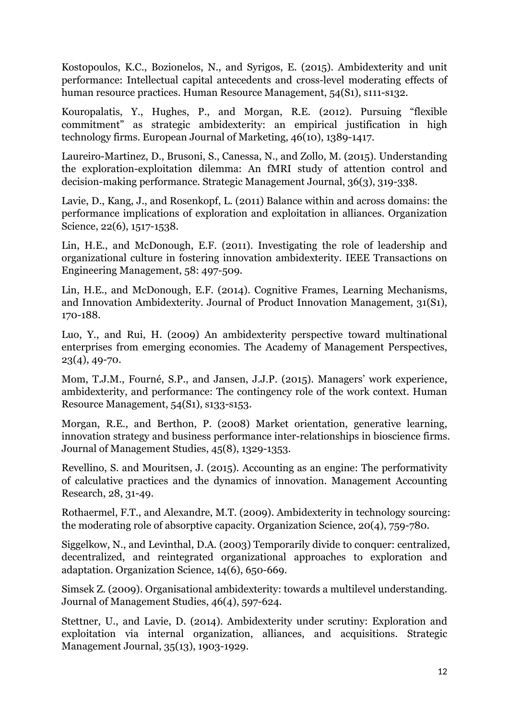Kostopoulos, K.C., Bozionelos, N., and Syrigos, E. (2015). Ambidexterity and unit performance: Intellectual capital antecedents and cross-level moderating effects of human resource practices. Human Resource Management, 54(S1), s111-s132.

Kouropalatis, Y., Hughes, P., and Morgan, R.E. (2012). Pursuing "flexible commitment" as strategic ambidexterity: an empirical justification in high technology firms. European Journal of Marketing, 46(10), 1389-1417.

Laureiro-Martinez, D., Brusoni, S., Canessa, N., and Zollo, M. (2015). Understanding the exploration-exploitation dilemma: An fMRI study of attention control and decision-making performance. Strategic Management Journal, 36(3), 319-338.

Lavie, D., Kang, J., and Rosenkopf, L. (2011) Balance within and across domains: the performance implications of exploration and exploitation in alliances. Organization Science, 22(6), 1517-1538.

Lin, H.E., and McDonough, E.F. (2011). Investigating the role of leadership and organizational culture in fostering innovation ambidexterity. IEEE Transactions on Engineering Management, 58: 497-509.

Lin, H.E., and McDonough, E.F. (2014). Cognitive Frames, Learning Mechanisms, and Innovation Ambidexterity. Journal of Product Innovation Management, 31(S1), 170-188.

Luo, Y., and Rui, H. (2009) An ambidexterity perspective toward multinational enterprises from emerging economies. The Academy of Management Perspectives, 23(4), 49-70.

Mom, T.J.M., Fourné, S.P., and Jansen, J.J.P. (2015). Managers' work experience, ambidexterity, and performance: The contingency role of the work context. Human Resource Management, 54(S1), s133-s153.

Morgan, R.E., and Berthon, P. (2008) Market orientation, generative learning, innovation strategy and business performance inter-relationships in bioscience firms. Journal of Management Studies, 45(8), 1329-1353.

Revellino, S. and Mouritsen, J. (2015). Accounting as an engine: The performativity of calculative practices and the dynamics of innovation. Management Accounting Research, 28, 31-49.

Rothaermel, F.T., and Alexandre, M.T. (2009). Ambidexterity in technology sourcing: the moderating role of absorptive capacity. Organization Science, 20(4), 759-780.

Siggelkow, N., and Levinthal, D.A. (2003) Temporarily divide to conquer: centralized, decentralized, and reintegrated organizational approaches to exploration and adaptation. Organization Science, 14(6), 650-669.

Simsek Z. (2009). Organisational ambidexterity: towards a multilevel understanding. Journal of Management Studies, 46(4), 597-624.

Stettner, U., and Lavie, D. (2014). Ambidexterity under scrutiny: Exploration and exploitation via internal organization, alliances, and acquisitions. Strategic Management Journal, 35(13), 1903-1929.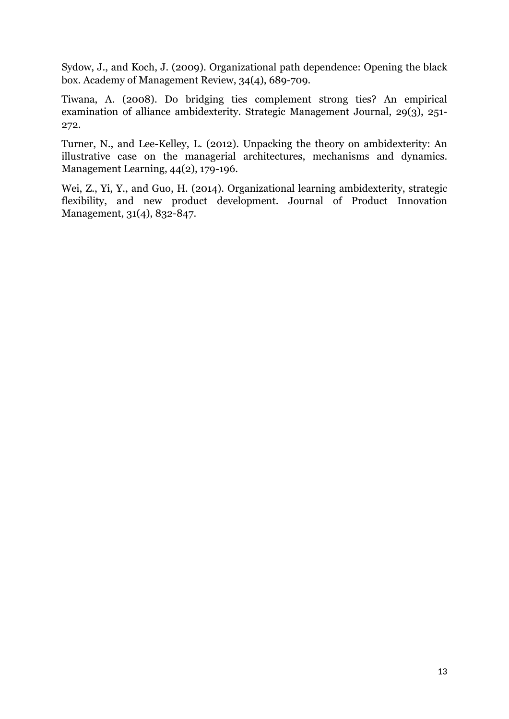Sydow, J., and Koch, J. (2009). Organizational path dependence: Opening the black box. Academy of Management Review, 34(4), 689-709.

Tiwana, A. (2008). Do bridging ties complement strong ties? An empirical examination of alliance ambidexterity. Strategic Management Journal, 29(3), 251- 272.

Turner, N., and Lee-Kelley, L. (2012). Unpacking the theory on ambidexterity: An illustrative case on the managerial architectures, mechanisms and dynamics. Management Learning, 44(2), 179-196.

Wei, Z., Yi, Y., and Guo, H. (2014). Organizational learning ambidexterity, strategic flexibility, and new product development. Journal of Product Innovation Management, 31(4), 832-847.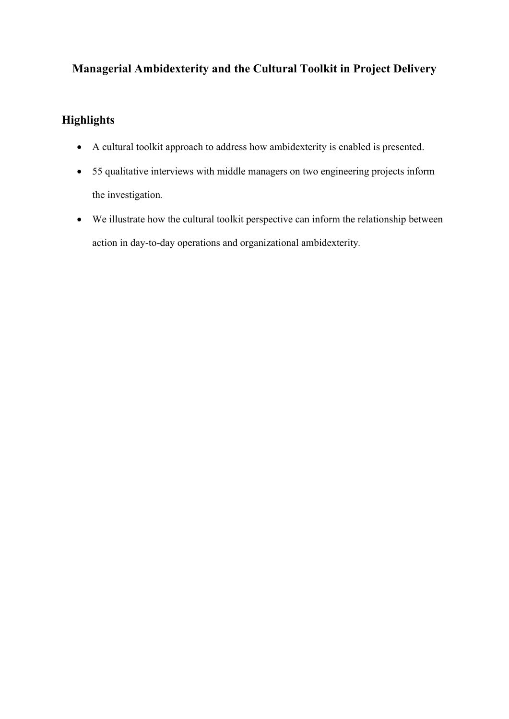## **Managerial Ambidexterity and the Cultural Toolkit in Project Delivery**

## **Highlights**

- A cultural toolkit approach to address how ambidexterity is enabled is presented.
- 55 qualitative interviews with middle managers on two engineering projects inform the investigation*.*
- We illustrate how the cultural toolkit perspective can inform the relationship between action in day-to-day operations and organizational ambidexterity*.*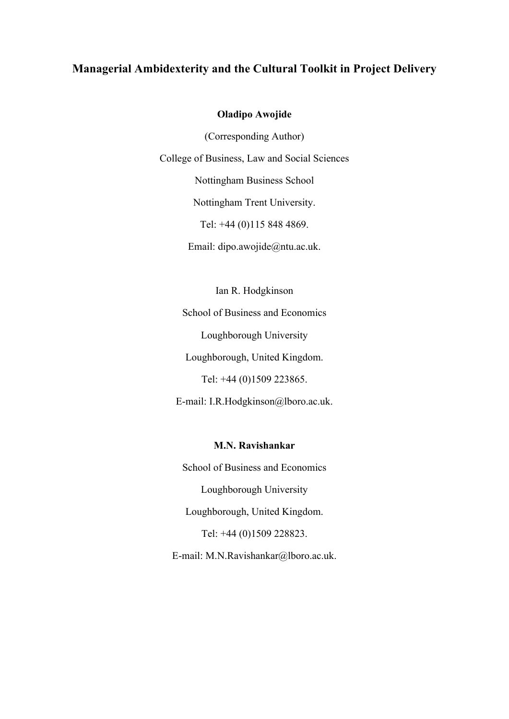## **Managerial Ambidexterity and the Cultural Toolkit in Project Delivery**

#### **Oladipo Awojide**

(Corresponding Author) College of Business, Law and Social Sciences Nottingham Business School Nottingham Trent University. Tel: +44 (0)115 848 4869. Email: dipo.awojide@ntu.ac.uk.

Ian R. Hodgkinson School of Business and Economics Loughborough University Loughborough, United Kingdom. Tel: +44 (0)1509 223865. E-mail: I.R.Hodgkinson@lboro.ac.uk.

#### **M.N. Ravishankar**

School of Business and Economics Loughborough University Loughborough, United Kingdom. Tel: +44 (0)1509 228823. E-mail: M.N.Ravishankar@lboro.ac.uk.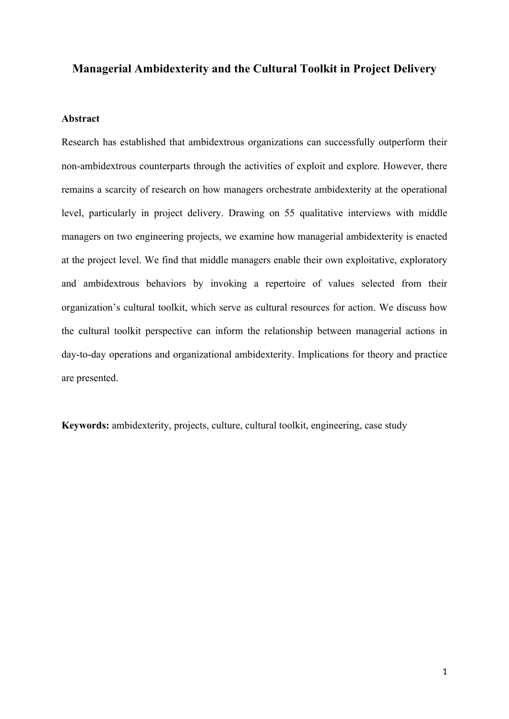### **Managerial Ambidexterity and the Cultural Toolkit in Project Delivery**

#### **Abstract**

Research has established that ambidextrous organizations can successfully outperform their non-ambidextrous counterparts through the activities of exploit and explore. However, there remains a scarcity of research on how managers orchestrate ambidexterity at the operational level, particularly in project delivery. Drawing on 55 qualitative interviews with middle managers on two engineering projects, we examine how managerial ambidexterity is enacted at the project level. We find that middle managers enable their own exploitative, exploratory and ambidextrous behaviors by invoking a repertoire of values selected from their organization's cultural toolkit, which serve as cultural resources for action. We discuss how the cultural toolkit perspective can inform the relationship between managerial actions in day-to-day operations and organizational ambidexterity. Implications for theory and practice are presented.

**Keywords:** ambidexterity, projects, culture, cultural toolkit, engineering, case study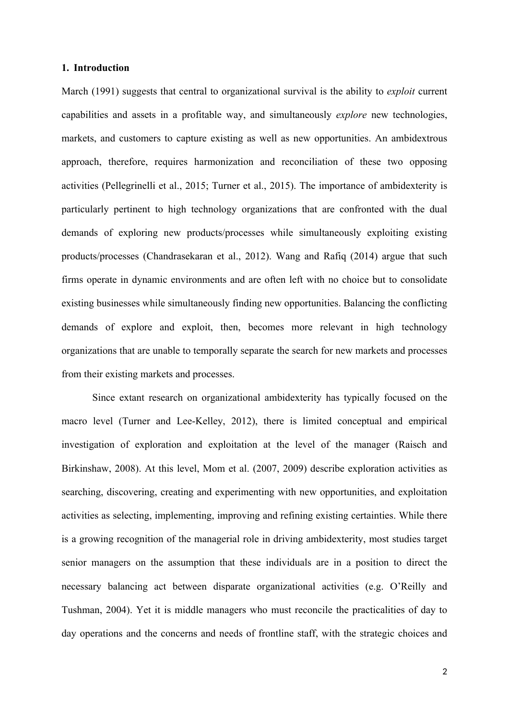#### **1. Introduction**

March (1991) suggests that central to organizational survival is the ability to *exploit* current capabilities and assets in a profitable way, and simultaneously *explore* new technologies, markets, and customers to capture existing as well as new opportunities. An ambidextrous approach, therefore, requires harmonization and reconciliation of these two opposing activities (Pellegrinelli et al., 2015; Turner et al., 2015). The importance of ambidexterity is particularly pertinent to high technology organizations that are confronted with the dual demands of exploring new products/processes while simultaneously exploiting existing products/processes (Chandrasekaran et al., 2012). Wang and Rafiq (2014) argue that such firms operate in dynamic environments and are often left with no choice but to consolidate existing businesses while simultaneously finding new opportunities. Balancing the conflicting demands of explore and exploit, then, becomes more relevant in high technology organizations that are unable to temporally separate the search for new markets and processes from their existing markets and processes.

Since extant research on organizational ambidexterity has typically focused on the macro level (Turner and Lee-Kelley, 2012), there is limited conceptual and empirical investigation of exploration and exploitation at the level of the manager (Raisch and Birkinshaw, 2008). At this level, Mom et al. (2007, 2009) describe exploration activities as searching, discovering, creating and experimenting with new opportunities, and exploitation activities as selecting, implementing, improving and refining existing certainties. While there is a growing recognition of the managerial role in driving ambidexterity, most studies target senior managers on the assumption that these individuals are in a position to direct the necessary balancing act between disparate organizational activities (e.g. O'Reilly and Tushman, 2004). Yet it is middle managers who must reconcile the practicalities of day to day operations and the concerns and needs of frontline staff, with the strategic choices and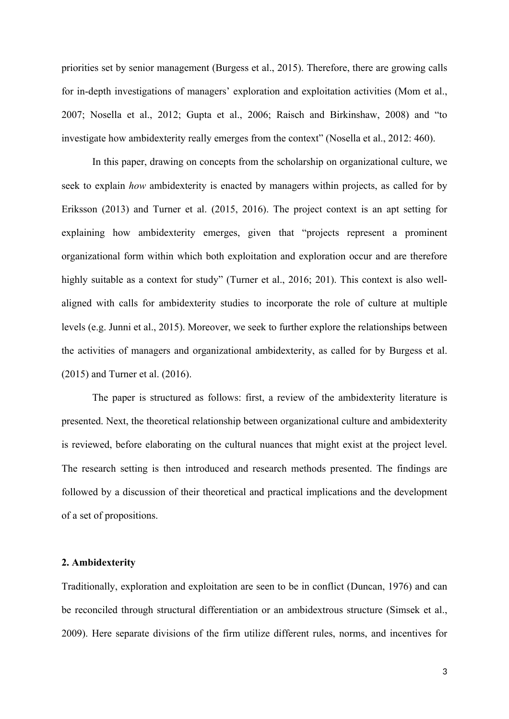priorities set by senior management (Burgess et al., 2015). Therefore, there are growing calls for in-depth investigations of managers' exploration and exploitation activities (Mom et al., 2007; Nosella et al., 2012; Gupta et al., 2006; Raisch and Birkinshaw, 2008) and "to investigate how ambidexterity really emerges from the context" (Nosella et al., 2012: 460).

In this paper, drawing on concepts from the scholarship on organizational culture, we seek to explain *how* ambidexterity is enacted by managers within projects, as called for by Eriksson (2013) and Turner et al. (2015, 2016). The project context is an apt setting for explaining how ambidexterity emerges, given that "projects represent a prominent organizational form within which both exploitation and exploration occur and are therefore highly suitable as a context for study" (Turner et al., 2016; 201). This context is also wellaligned with calls for ambidexterity studies to incorporate the role of culture at multiple levels (e.g. Junni et al., 2015). Moreover, we seek to further explore the relationships between the activities of managers and organizational ambidexterity, as called for by Burgess et al. (2015) and Turner et al. (2016).

The paper is structured as follows: first, a review of the ambidexterity literature is presented. Next, the theoretical relationship between organizational culture and ambidexterity is reviewed, before elaborating on the cultural nuances that might exist at the project level. The research setting is then introduced and research methods presented. The findings are followed by a discussion of their theoretical and practical implications and the development of a set of propositions.

#### **2. Ambidexterity**

Traditionally, exploration and exploitation are seen to be in conflict (Duncan, 1976) and can be reconciled through structural differentiation or an ambidextrous structure (Simsek et al., 2009). Here separate divisions of the firm utilize different rules, norms, and incentives for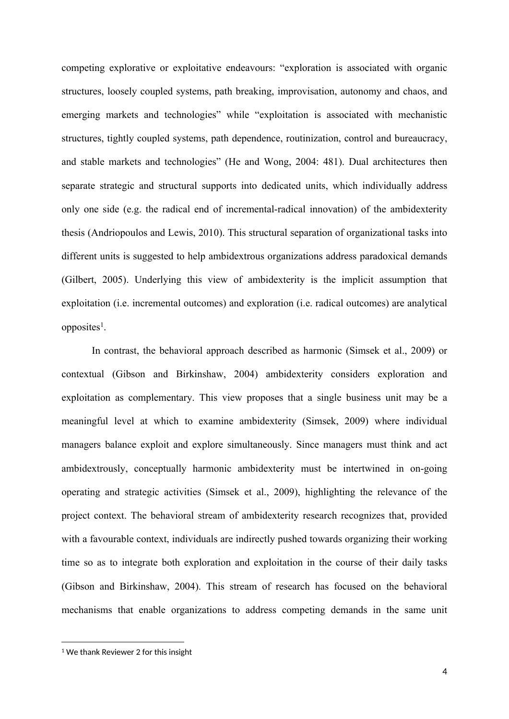competing explorative or exploitative endeavours: "exploration is associated with organic structures, loosely coupled systems, path breaking, improvisation, autonomy and chaos, and emerging markets and technologies" while "exploitation is associated with mechanistic structures, tightly coupled systems, path dependence, routinization, control and bureaucracy, and stable markets and technologies" (He and Wong, 2004: 481). Dual architectures then separate strategic and structural supports into dedicated units, which individually address only one side (e.g. the radical end of incremental-radical innovation) of the ambidexterity thesis (Andriopoulos and Lewis, 2010). This structural separation of organizational tasks into different units is suggested to help ambidextrous organizations address paradoxical demands (Gilbert, 2005). Underlying this view of ambidexterity is the implicit assumption that exploitation (i.e. incremental outcomes) and exploration (i.e. radical outcomes) are analytical opposites<sup>1</sup>.

In contrast, the behavioral approach described as harmonic (Simsek et al., 2009) or contextual (Gibson and Birkinshaw, 2004) ambidexterity considers exploration and exploitation as complementary. This view proposes that a single business unit may be a meaningful level at which to examine ambidexterity (Simsek, 2009) where individual managers balance exploit and explore simultaneously. Since managers must think and act ambidextrously, conceptually harmonic ambidexterity must be intertwined in on-going operating and strategic activities (Simsek et al., 2009), highlighting the relevance of the project context. The behavioral stream of ambidexterity research recognizes that, provided with a favourable context, individuals are indirectly pushed towards organizing their working time so as to integrate both exploration and exploitation in the course of their daily tasks (Gibson and Birkinshaw, 2004). This stream of research has focused on the behavioral mechanisms that enable organizations to address competing demands in the same unit

<sup>&</sup>lt;sup>1</sup> We thank Reviewer 2 for this insight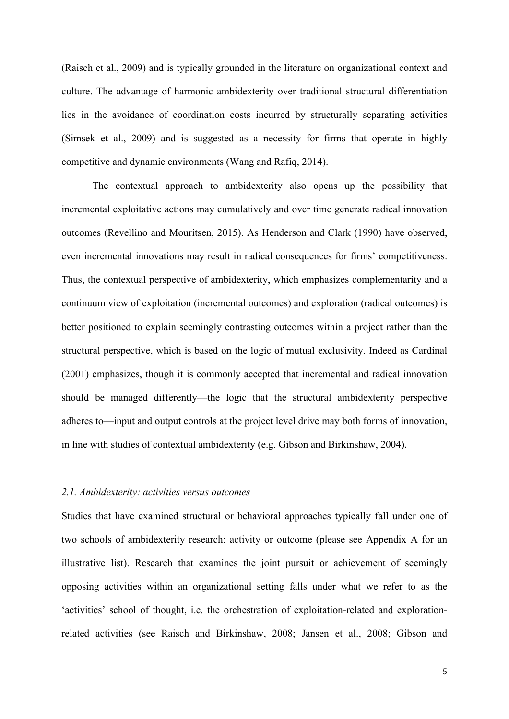(Raisch et al., 2009) and is typically grounded in the literature on organizational context and culture. The advantage of harmonic ambidexterity over traditional structural differentiation lies in the avoidance of coordination costs incurred by structurally separating activities (Simsek et al., 2009) and is suggested as a necessity for firms that operate in highly competitive and dynamic environments (Wang and Rafiq, 2014).

The contextual approach to ambidexterity also opens up the possibility that incremental exploitative actions may cumulatively and over time generate radical innovation outcomes (Revellino and Mouritsen, 2015). As Henderson and Clark (1990) have observed, even incremental innovations may result in radical consequences for firms' competitiveness. Thus, the contextual perspective of ambidexterity, which emphasizes complementarity and a continuum view of exploitation (incremental outcomes) and exploration (radical outcomes) is better positioned to explain seemingly contrasting outcomes within a project rather than the structural perspective, which is based on the logic of mutual exclusivity. Indeed as Cardinal (2001) emphasizes, though it is commonly accepted that incremental and radical innovation should be managed differently—the logic that the structural ambidexterity perspective adheres to—input and output controls at the project level drive may both forms of innovation, in line with studies of contextual ambidexterity (e.g. Gibson and Birkinshaw, 2004).

#### *2.1. Ambidexterity: activities versus outcomes*

Studies that have examined structural or behavioral approaches typically fall under one of two schools of ambidexterity research: activity or outcome (please see Appendix A for an illustrative list). Research that examines the joint pursuit or achievement of seemingly opposing activities within an organizational setting falls under what we refer to as the 'activities' school of thought, i.e. the orchestration of exploitation-related and explorationrelated activities (see Raisch and Birkinshaw, 2008; Jansen et al., 2008; Gibson and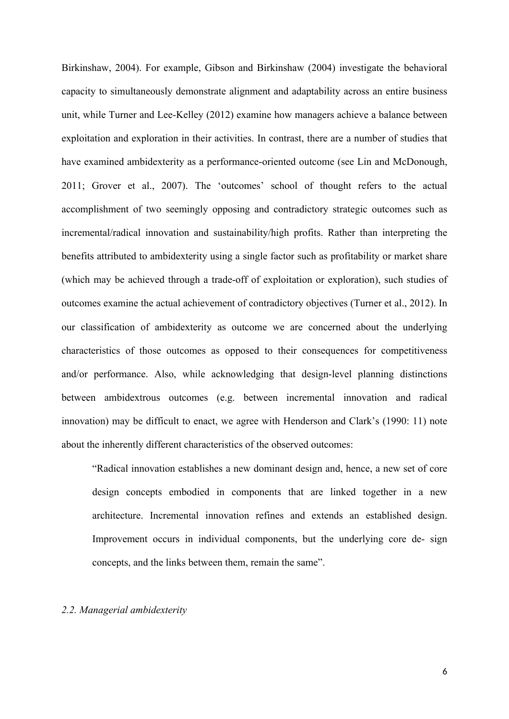Birkinshaw, 2004). For example, Gibson and Birkinshaw (2004) investigate the behavioral capacity to simultaneously demonstrate alignment and adaptability across an entire business unit, while Turner and Lee-Kelley (2012) examine how managers achieve a balance between exploitation and exploration in their activities. In contrast, there are a number of studies that have examined ambidexterity as a performance-oriented outcome (see Lin and McDonough, 2011; Grover et al., 2007). The 'outcomes' school of thought refers to the actual accomplishment of two seemingly opposing and contradictory strategic outcomes such as incremental/radical innovation and sustainability/high profits. Rather than interpreting the benefits attributed to ambidexterity using a single factor such as profitability or market share (which may be achieved through a trade-off of exploitation or exploration), such studies of outcomes examine the actual achievement of contradictory objectives (Turner et al., 2012). In our classification of ambidexterity as outcome we are concerned about the underlying characteristics of those outcomes as opposed to their consequences for competitiveness and/or performance. Also, while acknowledging that design-level planning distinctions between ambidextrous outcomes (e.g. between incremental innovation and radical innovation) may be difficult to enact, we agree with Henderson and Clark's (1990: 11) note about the inherently different characteristics of the observed outcomes:

"Radical innovation establishes a new dominant design and, hence, a new set of core design concepts embodied in components that are linked together in a new architecture. Incremental innovation refines and extends an established design. Improvement occurs in individual components, but the underlying core de- sign concepts, and the links between them, remain the same".

#### *2.2. Managerial ambidexterity*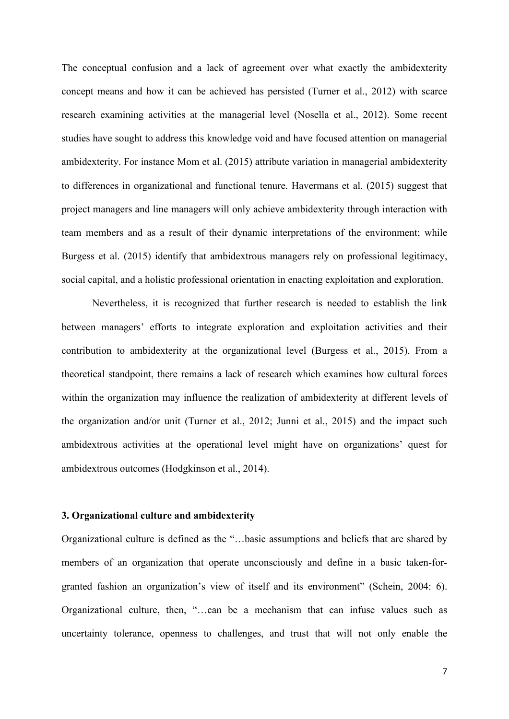The conceptual confusion and a lack of agreement over what exactly the ambidexterity concept means and how it can be achieved has persisted (Turner et al., 2012) with scarce research examining activities at the managerial level (Nosella et al., 2012). Some recent studies have sought to address this knowledge void and have focused attention on managerial ambidexterity. For instance Mom et al. (2015) attribute variation in managerial ambidexterity to differences in organizational and functional tenure. Havermans et al. (2015) suggest that project managers and line managers will only achieve ambidexterity through interaction with team members and as a result of their dynamic interpretations of the environment; while Burgess et al. (2015) identify that ambidextrous managers rely on professional legitimacy, social capital, and a holistic professional orientation in enacting exploitation and exploration.

Nevertheless, it is recognized that further research is needed to establish the link between managers' efforts to integrate exploration and exploitation activities and their contribution to ambidexterity at the organizational level (Burgess et al., 2015). From a theoretical standpoint, there remains a lack of research which examines how cultural forces within the organization may influence the realization of ambidexterity at different levels of the organization and/or unit (Turner et al., 2012; Junni et al., 2015) and the impact such ambidextrous activities at the operational level might have on organizations' quest for ambidextrous outcomes (Hodgkinson et al., 2014).

#### **3. Organizational culture and ambidexterity**

Organizational culture is defined as the "…basic assumptions and beliefs that are shared by members of an organization that operate unconsciously and define in a basic taken-forgranted fashion an organization's view of itself and its environment" (Schein, 2004: 6). Organizational culture, then, "…can be a mechanism that can infuse values such as uncertainty tolerance, openness to challenges, and trust that will not only enable the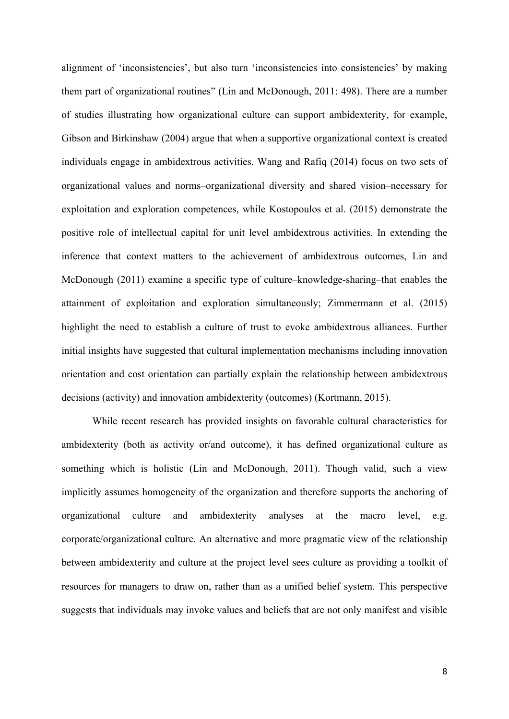alignment of 'inconsistencies', but also turn 'inconsistencies into consistencies' by making them part of organizational routines" (Lin and McDonough, 2011: 498). There are a number of studies illustrating how organizational culture can support ambidexterity, for example, Gibson and Birkinshaw (2004) argue that when a supportive organizational context is created individuals engage in ambidextrous activities. Wang and Rafiq (2014) focus on two sets of organizational values and norms–organizational diversity and shared vision–necessary for exploitation and exploration competences, while Kostopoulos et al. (2015) demonstrate the positive role of intellectual capital for unit level ambidextrous activities. In extending the inference that context matters to the achievement of ambidextrous outcomes, Lin and McDonough (2011) examine a specific type of culture–knowledge-sharing–that enables the attainment of exploitation and exploration simultaneously; Zimmermann et al. (2015) highlight the need to establish a culture of trust to evoke ambidextrous alliances. Further initial insights have suggested that cultural implementation mechanisms including innovation orientation and cost orientation can partially explain the relationship between ambidextrous decisions (activity) and innovation ambidexterity (outcomes) (Kortmann, 2015).

While recent research has provided insights on favorable cultural characteristics for ambidexterity (both as activity or/and outcome), it has defined organizational culture as something which is holistic (Lin and McDonough, 2011). Though valid, such a view implicitly assumes homogeneity of the organization and therefore supports the anchoring of organizational culture and ambidexterity analyses at the macro level, e.g. corporate/organizational culture. An alternative and more pragmatic view of the relationship between ambidexterity and culture at the project level sees culture as providing a toolkit of resources for managers to draw on, rather than as a unified belief system. This perspective suggests that individuals may invoke values and beliefs that are not only manifest and visible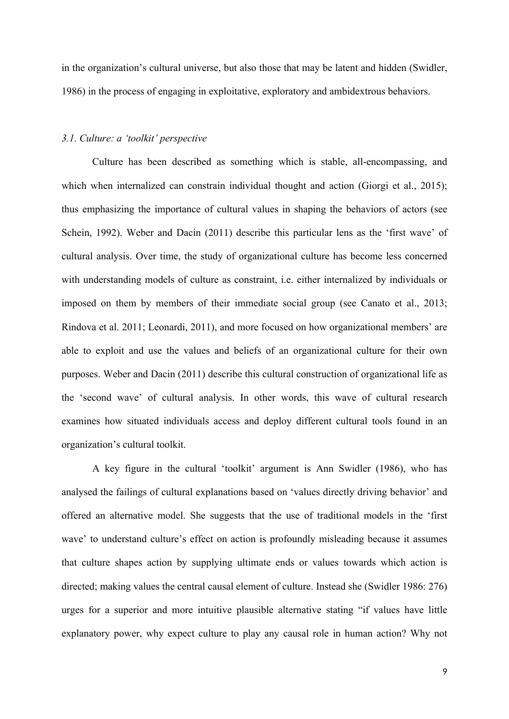in the organization's cultural universe, but also those that may be latent and hidden (Swidler, 1986) in the process of engaging in exploitative, exploratory and ambidextrous behaviors.

#### *3.1. Culture: a 'toolkit' perspective*

Culture has been described as something which is stable, all-encompassing, and which when internalized can constrain individual thought and action (Giorgi et al., 2015); thus emphasizing the importance of cultural values in shaping the behaviors of actors (see Schein, 1992). Weber and Dacin (2011) describe this particular lens as the 'first wave' of cultural analysis. Over time, the study of organizational culture has become less concerned with understanding models of culture as constraint, i.e. either internalized by individuals or imposed on them by members of their immediate social group (see Canato et al., 2013; Rindova et al. 2011; Leonardi, 2011), and more focused on how organizational members' are able to exploit and use the values and beliefs of an organizational culture for their own purposes. Weber and Dacin (2011) describe this cultural construction of organizational life as the 'second wave' of cultural analysis. In other words, this wave of cultural research examines how situated individuals access and deploy different cultural tools found in an organization's cultural toolkit.

A key figure in the cultural 'toolkit' argument is Ann Swidler (1986), who has analysed the failings of cultural explanations based on 'values directly driving behavior' and offered an alternative model. She suggests that the use of traditional models in the 'first wave' to understand culture's effect on action is profoundly misleading because it assumes that culture shapes action by supplying ultimate ends or values towards which action is directed; making values the central causal element of culture. Instead she (Swidler 1986: 276) urges for a superior and more intuitive plausible alternative stating "if values have little explanatory power, why expect culture to play any causal role in human action? Why not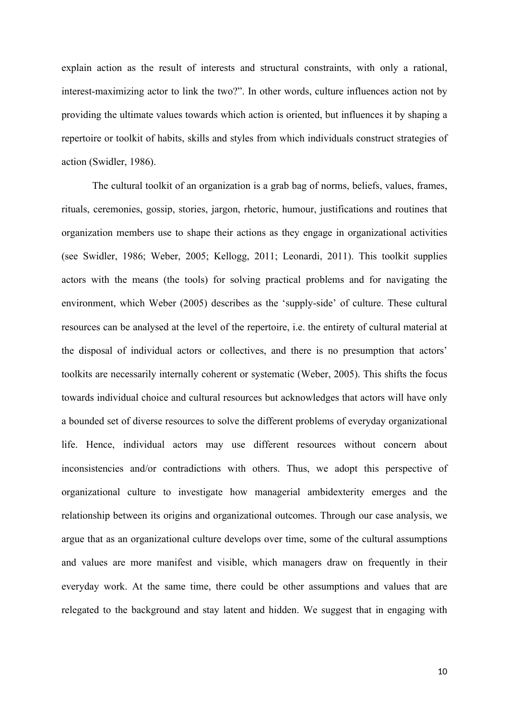explain action as the result of interests and structural constraints, with only a rational, interest-maximizing actor to link the two?". In other words, culture influences action not by providing the ultimate values towards which action is oriented, but influences it by shaping a repertoire or toolkit of habits, skills and styles from which individuals construct strategies of action (Swidler, 1986).

The cultural toolkit of an organization is a grab bag of norms, beliefs, values, frames, rituals, ceremonies, gossip, stories, jargon, rhetoric, humour, justifications and routines that organization members use to shape their actions as they engage in organizational activities (see Swidler, 1986; Weber, 2005; Kellogg, 2011; Leonardi, 2011). This toolkit supplies actors with the means (the tools) for solving practical problems and for navigating the environment, which Weber (2005) describes as the 'supply-side' of culture. These cultural resources can be analysed at the level of the repertoire, i.e. the entirety of cultural material at the disposal of individual actors or collectives, and there is no presumption that actors' toolkits are necessarily internally coherent or systematic (Weber, 2005). This shifts the focus towards individual choice and cultural resources but acknowledges that actors will have only a bounded set of diverse resources to solve the different problems of everyday organizational life. Hence, individual actors may use different resources without concern about inconsistencies and/or contradictions with others. Thus, we adopt this perspective of organizational culture to investigate how managerial ambidexterity emerges and the relationship between its origins and organizational outcomes. Through our case analysis, we argue that as an organizational culture develops over time, some of the cultural assumptions and values are more manifest and visible, which managers draw on frequently in their everyday work. At the same time, there could be other assumptions and values that are relegated to the background and stay latent and hidden. We suggest that in engaging with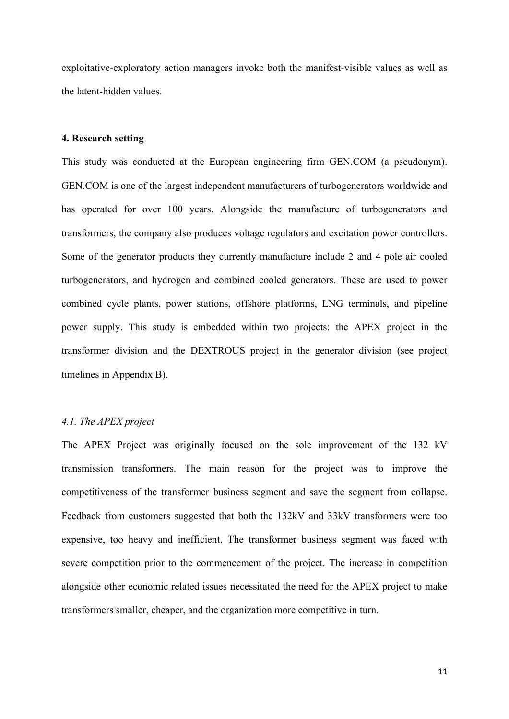exploitative-exploratory action managers invoke both the manifest-visible values as well as the latent-hidden values.

#### **4. Research setting**

This study was conducted at the European engineering firm GEN.COM (a pseudonym). GEN.COM is one of the largest independent manufacturers of turbogenerators worldwide and has operated for over 100 years. Alongside the manufacture of turbogenerators and transformers, the company also produces voltage regulators and excitation power controllers. Some of the generator products they currently manufacture include 2 and 4 pole air cooled turbogenerators, and hydrogen and combined cooled generators. These are used to power combined cycle plants, power stations, offshore platforms, LNG terminals, and pipeline power supply. This study is embedded within two projects: the APEX project in the transformer division and the DEXTROUS project in the generator division (see project timelines in Appendix B).

#### *4.1. The APEX project*

The APEX Project was originally focused on the sole improvement of the 132 kV transmission transformers. The main reason for the project was to improve the competitiveness of the transformer business segment and save the segment from collapse. Feedback from customers suggested that both the 132kV and 33kV transformers were too expensive, too heavy and inefficient. The transformer business segment was faced with severe competition prior to the commencement of the project. The increase in competition alongside other economic related issues necessitated the need for the APEX project to make transformers smaller, cheaper, and the organization more competitive in turn.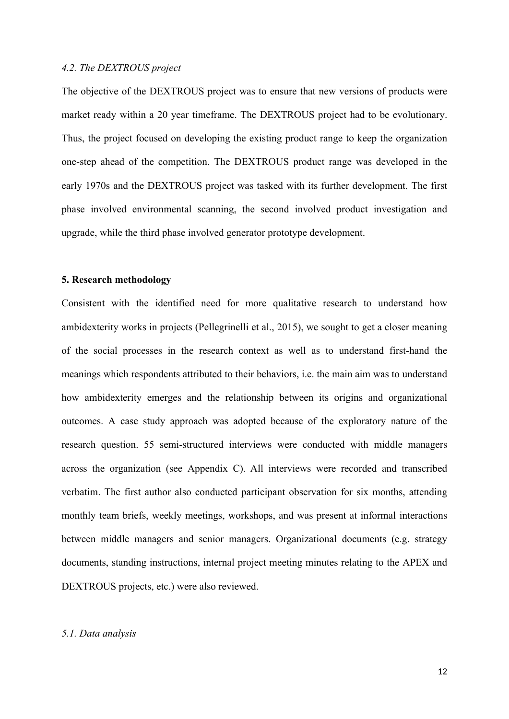#### *4.2. The DEXTROUS project*

The objective of the DEXTROUS project was to ensure that new versions of products were market ready within a 20 year timeframe. The DEXTROUS project had to be evolutionary. Thus, the project focused on developing the existing product range to keep the organization one-step ahead of the competition. The DEXTROUS product range was developed in the early 1970s and the DEXTROUS project was tasked with its further development. The first phase involved environmental scanning, the second involved product investigation and upgrade, while the third phase involved generator prototype development.

#### **5. Research methodology**

Consistent with the identified need for more qualitative research to understand how ambidexterity works in projects (Pellegrinelli et al., 2015), we sought to get a closer meaning of the social processes in the research context as well as to understand first-hand the meanings which respondents attributed to their behaviors, i.e. the main aim was to understand how ambidexterity emerges and the relationship between its origins and organizational outcomes. A case study approach was adopted because of the exploratory nature of the research question. 55 semi-structured interviews were conducted with middle managers across the organization (see Appendix C). All interviews were recorded and transcribed verbatim. The first author also conducted participant observation for six months, attending monthly team briefs, weekly meetings, workshops, and was present at informal interactions between middle managers and senior managers. Organizational documents (e.g. strategy documents, standing instructions, internal project meeting minutes relating to the APEX and DEXTROUS projects, etc.) were also reviewed.

#### *5.1. Data analysis*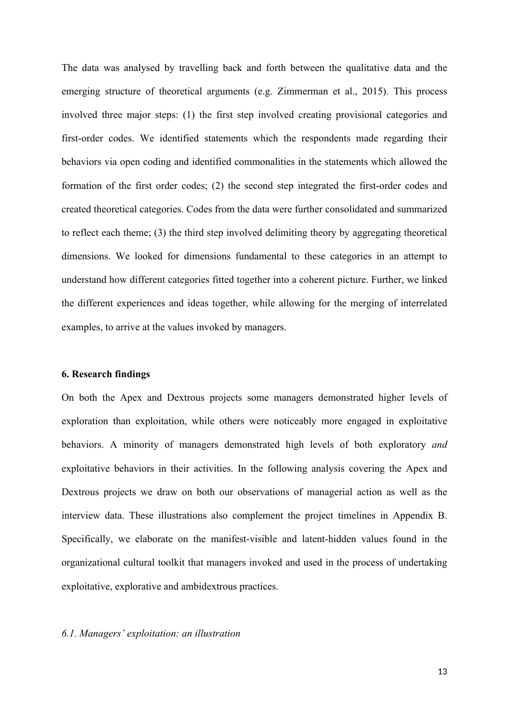The data was analysed by travelling back and forth between the qualitative data and the emerging structure of theoretical arguments (e.g. Zimmerman et al., 2015). This process involved three major steps: (1) the first step involved creating provisional categories and first-order codes. We identified statements which the respondents made regarding their behaviors via open coding and identified commonalities in the statements which allowed the formation of the first order codes; (2) the second step integrated the first-order codes and created theoretical categories. Codes from the data were further consolidated and summarized to reflect each theme; (3) the third step involved delimiting theory by aggregating theoretical dimensions. We looked for dimensions fundamental to these categories in an attempt to understand how different categories fitted together into a coherent picture. Further, we linked the different experiences and ideas together, while allowing for the merging of interrelated examples, to arrive at the values invoked by managers.

#### **6. Research findings**

On both the Apex and Dextrous projects some managers demonstrated higher levels of exploration than exploitation, while others were noticeably more engaged in exploitative behaviors. A minority of managers demonstrated high levels of both exploratory *and* exploitative behaviors in their activities. In the following analysis covering the Apex and Dextrous projects we draw on both our observations of managerial action as well as the interview data. These illustrations also complement the project timelines in Appendix B. Specifically, we elaborate on the manifest-visible and latent-hidden values found in the organizational cultural toolkit that managers invoked and used in the process of undertaking exploitative, explorative and ambidextrous practices.

#### *6.1. Managers' exploitation: an illustration*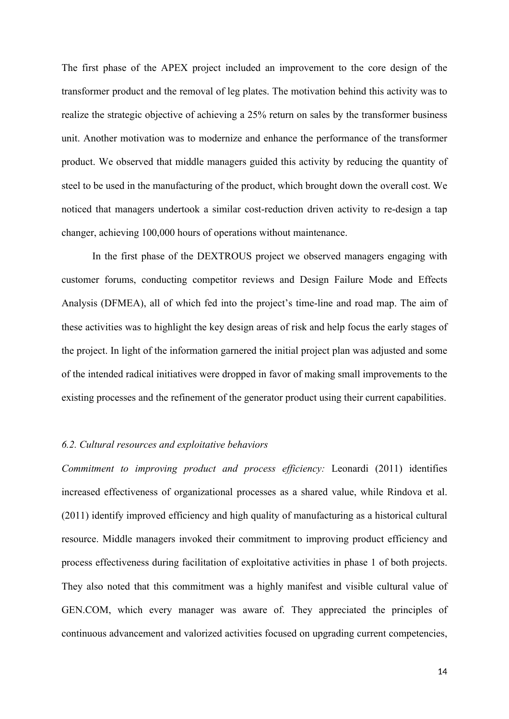The first phase of the APEX project included an improvement to the core design of the transformer product and the removal of leg plates. The motivation behind this activity was to realize the strategic objective of achieving a 25% return on sales by the transformer business unit. Another motivation was to modernize and enhance the performance of the transformer product. We observed that middle managers guided this activity by reducing the quantity of steel to be used in the manufacturing of the product, which brought down the overall cost. We noticed that managers undertook a similar cost-reduction driven activity to re-design a tap changer, achieving 100,000 hours of operations without maintenance.

In the first phase of the DEXTROUS project we observed managers engaging with customer forums, conducting competitor reviews and Design Failure Mode and Effects Analysis (DFMEA), all of which fed into the project's time-line and road map. The aim of these activities was to highlight the key design areas of risk and help focus the early stages of the project. In light of the information garnered the initial project plan was adjusted and some of the intended radical initiatives were dropped in favor of making small improvements to the existing processes and the refinement of the generator product using their current capabilities.

#### *6.2. Cultural resources and exploitative behaviors*

*Commitment to improving product and process efficiency:* Leonardi (2011) identifies increased effectiveness of organizational processes as a shared value, while Rindova et al. (2011) identify improved efficiency and high quality of manufacturing as a historical cultural resource. Middle managers invoked their commitment to improving product efficiency and process effectiveness during facilitation of exploitative activities in phase 1 of both projects. They also noted that this commitment was a highly manifest and visible cultural value of GEN.COM, which every manager was aware of. They appreciated the principles of continuous advancement and valorized activities focused on upgrading current competencies,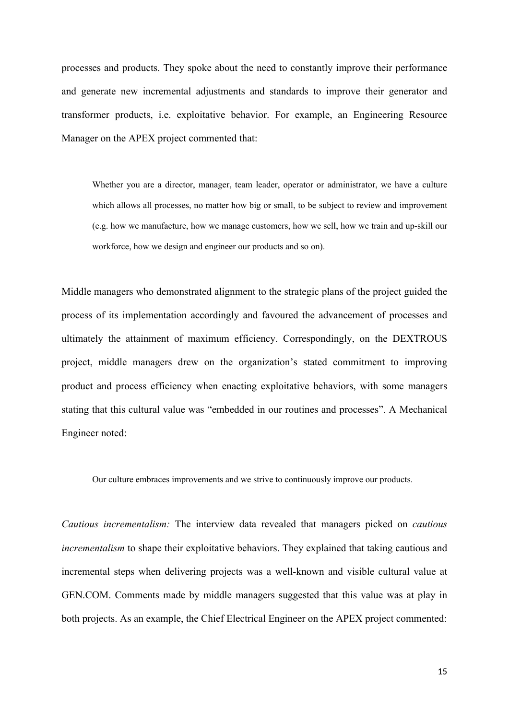processes and products. They spoke about the need to constantly improve their performance and generate new incremental adjustments and standards to improve their generator and transformer products, i.e. exploitative behavior. For example, an Engineering Resource Manager on the APEX project commented that:

Whether you are a director, manager, team leader, operator or administrator, we have a culture which allows all processes, no matter how big or small, to be subject to review and improvement (e.g. how we manufacture, how we manage customers, how we sell, how we train and up-skill our workforce, how we design and engineer our products and so on).

Middle managers who demonstrated alignment to the strategic plans of the project guided the process of its implementation accordingly and favoured the advancement of processes and ultimately the attainment of maximum efficiency. Correspondingly, on the DEXTROUS project, middle managers drew on the organization's stated commitment to improving product and process efficiency when enacting exploitative behaviors, with some managers stating that this cultural value was "embedded in our routines and processes". A Mechanical Engineer noted:

Our culture embraces improvements and we strive to continuously improve our products.

*Cautious incrementalism:* The interview data revealed that managers picked on *cautious incrementalism* to shape their exploitative behaviors. They explained that taking cautious and incremental steps when delivering projects was a well-known and visible cultural value at GEN.COM. Comments made by middle managers suggested that this value was at play in both projects. As an example, the Chief Electrical Engineer on the APEX project commented: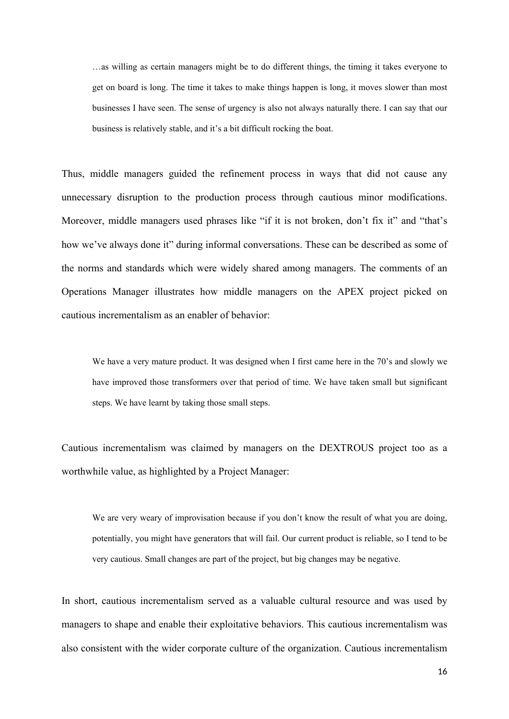…as willing as certain managers might be to do different things, the timing it takes everyone to get on board is long. The time it takes to make things happen is long, it moves slower than most businesses I have seen. The sense of urgency is also not always naturally there. I can say that our business is relatively stable, and it's a bit difficult rocking the boat.

Thus, middle managers guided the refinement process in ways that did not cause any unnecessary disruption to the production process through cautious minor modifications. Moreover, middle managers used phrases like "if it is not broken, don't fix it" and "that's how we've always done it" during informal conversations. These can be described as some of the norms and standards which were widely shared among managers. The comments of an Operations Manager illustrates how middle managers on the APEX project picked on cautious incrementalism as an enabler of behavior:

We have a very mature product. It was designed when I first came here in the 70's and slowly we have improved those transformers over that period of time. We have taken small but significant steps. We have learnt by taking those small steps.

Cautious incrementalism was claimed by managers on the DEXTROUS project too as a worthwhile value, as highlighted by a Project Manager:

We are very weary of improvisation because if you don't know the result of what you are doing, potentially, you might have generators that will fail. Our current product is reliable, so I tend to be very cautious. Small changes are part of the project, but big changes may be negative.

In short, cautious incrementalism served as a valuable cultural resource and was used by managers to shape and enable their exploitative behaviors. This cautious incrementalism was also consistent with the wider corporate culture of the organization. Cautious incrementalism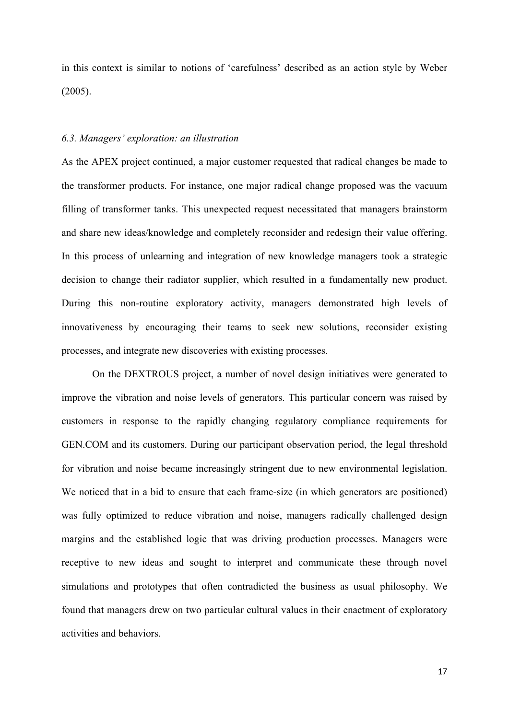in this context is similar to notions of 'carefulness' described as an action style by Weber (2005).

#### *6.3. Managers' exploration: an illustration*

As the APEX project continued, a major customer requested that radical changes be made to the transformer products. For instance, one major radical change proposed was the vacuum filling of transformer tanks. This unexpected request necessitated that managers brainstorm and share new ideas/knowledge and completely reconsider and redesign their value offering. In this process of unlearning and integration of new knowledge managers took a strategic decision to change their radiator supplier, which resulted in a fundamentally new product. During this non-routine exploratory activity, managers demonstrated high levels of innovativeness by encouraging their teams to seek new solutions, reconsider existing processes, and integrate new discoveries with existing processes.

On the DEXTROUS project, a number of novel design initiatives were generated to improve the vibration and noise levels of generators. This particular concern was raised by customers in response to the rapidly changing regulatory compliance requirements for GEN.COM and its customers. During our participant observation period, the legal threshold for vibration and noise became increasingly stringent due to new environmental legislation. We noticed that in a bid to ensure that each frame-size (in which generators are positioned) was fully optimized to reduce vibration and noise, managers radically challenged design margins and the established logic that was driving production processes. Managers were receptive to new ideas and sought to interpret and communicate these through novel simulations and prototypes that often contradicted the business as usual philosophy. We found that managers drew on two particular cultural values in their enactment of exploratory activities and behaviors.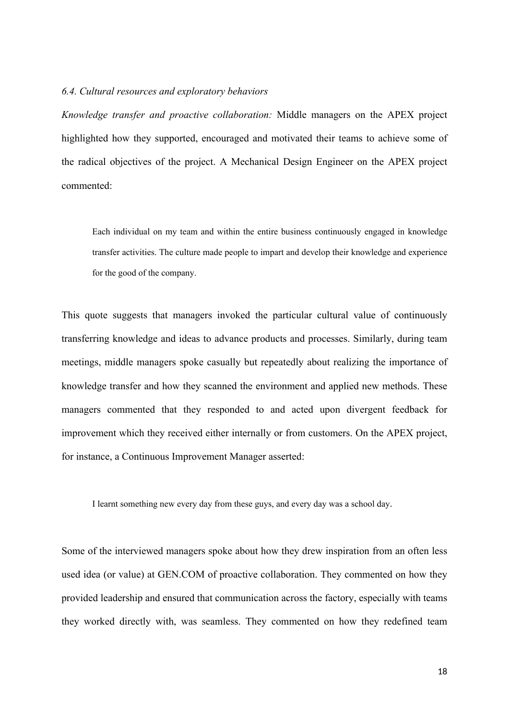#### *6.4. Cultural resources and exploratory behaviors*

*Knowledge transfer and proactive collaboration:* Middle managers on the APEX project highlighted how they supported, encouraged and motivated their teams to achieve some of the radical objectives of the project. A Mechanical Design Engineer on the APEX project commented:

Each individual on my team and within the entire business continuously engaged in knowledge transfer activities. The culture made people to impart and develop their knowledge and experience for the good of the company.

This quote suggests that managers invoked the particular cultural value of continuously transferring knowledge and ideas to advance products and processes. Similarly, during team meetings, middle managers spoke casually but repeatedly about realizing the importance of knowledge transfer and how they scanned the environment and applied new methods. These managers commented that they responded to and acted upon divergent feedback for improvement which they received either internally or from customers. On the APEX project, for instance, a Continuous Improvement Manager asserted:

I learnt something new every day from these guys, and every day was a school day.

Some of the interviewed managers spoke about how they drew inspiration from an often less used idea (or value) at GEN.COM of proactive collaboration. They commented on how they provided leadership and ensured that communication across the factory, especially with teams they worked directly with, was seamless. They commented on how they redefined team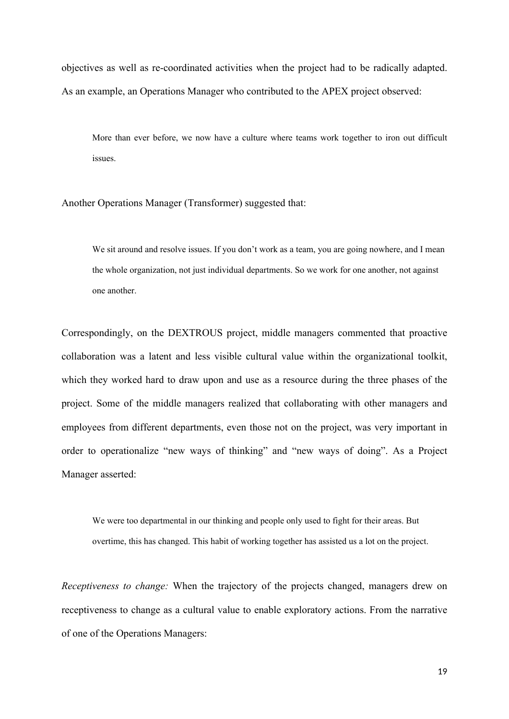objectives as well as re-coordinated activities when the project had to be radically adapted. As an example, an Operations Manager who contributed to the APEX project observed:

More than ever before, we now have a culture where teams work together to iron out difficult issues.

Another Operations Manager (Transformer) suggested that:

We sit around and resolve issues. If you don't work as a team, you are going nowhere, and I mean the whole organization, not just individual departments. So we work for one another, not against one another.

Correspondingly, on the DEXTROUS project, middle managers commented that proactive collaboration was a latent and less visible cultural value within the organizational toolkit, which they worked hard to draw upon and use as a resource during the three phases of the project. Some of the middle managers realized that collaborating with other managers and employees from different departments, even those not on the project, was very important in order to operationalize "new ways of thinking" and "new ways of doing". As a Project Manager asserted:

We were too departmental in our thinking and people only used to fight for their areas. But overtime, this has changed. This habit of working together has assisted us a lot on the project.

*Receptiveness to change:* When the trajectory of the projects changed, managers drew on receptiveness to change as a cultural value to enable exploratory actions. From the narrative of one of the Operations Managers: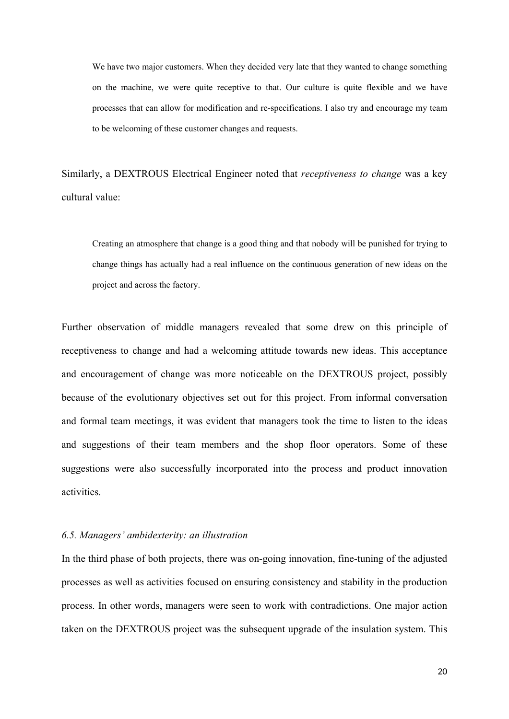We have two major customers. When they decided very late that they wanted to change something on the machine, we were quite receptive to that. Our culture is quite flexible and we have processes that can allow for modification and re-specifications. I also try and encourage my team to be welcoming of these customer changes and requests.

Similarly, a DEXTROUS Electrical Engineer noted that *receptiveness to change* was a key cultural value:

Creating an atmosphere that change is a good thing and that nobody will be punished for trying to change things has actually had a real influence on the continuous generation of new ideas on the project and across the factory.

Further observation of middle managers revealed that some drew on this principle of receptiveness to change and had a welcoming attitude towards new ideas. This acceptance and encouragement of change was more noticeable on the DEXTROUS project, possibly because of the evolutionary objectives set out for this project. From informal conversation and formal team meetings, it was evident that managers took the time to listen to the ideas and suggestions of their team members and the shop floor operators. Some of these suggestions were also successfully incorporated into the process and product innovation activities.

#### *6.5. Managers' ambidexterity: an illustration*

In the third phase of both projects, there was on-going innovation, fine-tuning of the adjusted processes as well as activities focused on ensuring consistency and stability in the production process. In other words, managers were seen to work with contradictions. One major action taken on the DEXTROUS project was the subsequent upgrade of the insulation system. This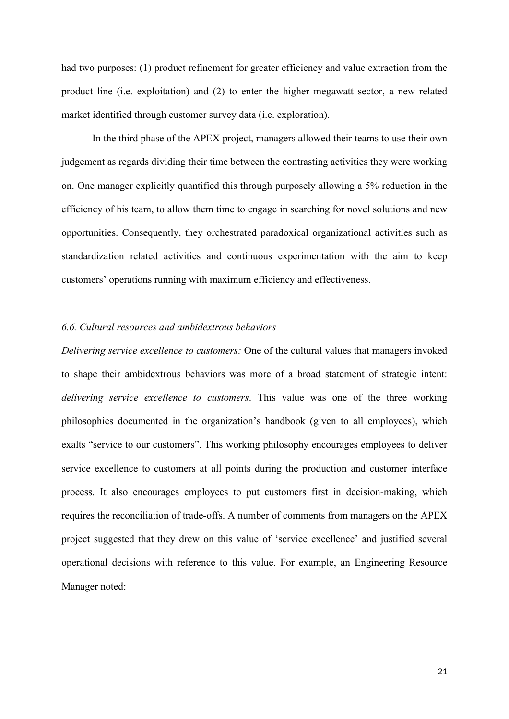had two purposes: (1) product refinement for greater efficiency and value extraction from the product line (i.e. exploitation) and (2) to enter the higher megawatt sector, a new related market identified through customer survey data (i.e. exploration).

In the third phase of the APEX project, managers allowed their teams to use their own judgement as regards dividing their time between the contrasting activities they were working on. One manager explicitly quantified this through purposely allowing a 5% reduction in the efficiency of his team, to allow them time to engage in searching for novel solutions and new opportunities. Consequently, they orchestrated paradoxical organizational activities such as standardization related activities and continuous experimentation with the aim to keep customers' operations running with maximum efficiency and effectiveness.

#### *6.6. Cultural resources and ambidextrous behaviors*

*Delivering service excellence to customers:* One of the cultural values that managers invoked to shape their ambidextrous behaviors was more of a broad statement of strategic intent: *delivering service excellence to customers*. This value was one of the three working philosophies documented in the organization's handbook (given to all employees), which exalts "service to our customers". This working philosophy encourages employees to deliver service excellence to customers at all points during the production and customer interface process. It also encourages employees to put customers first in decision-making, which requires the reconciliation of trade-offs. A number of comments from managers on the APEX project suggested that they drew on this value of 'service excellence' and justified several operational decisions with reference to this value. For example, an Engineering Resource Manager noted: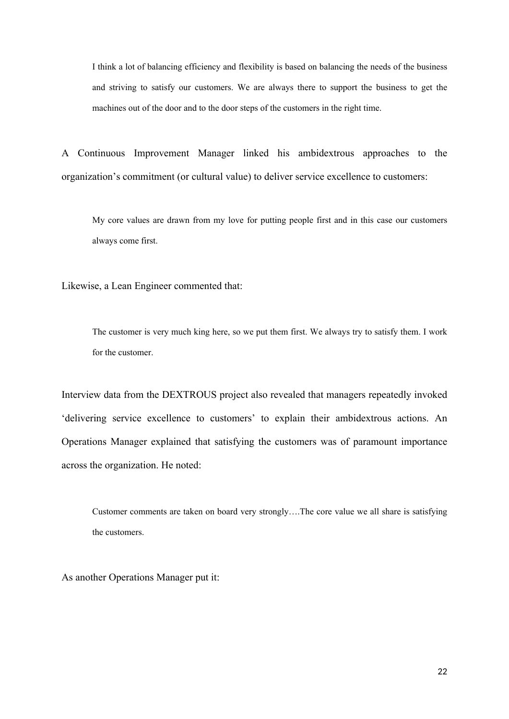I think a lot of balancing efficiency and flexibility is based on balancing the needs of the business and striving to satisfy our customers. We are always there to support the business to get the machines out of the door and to the door steps of the customers in the right time.

A Continuous Improvement Manager linked his ambidextrous approaches to the organization's commitment (or cultural value) to deliver service excellence to customers:

My core values are drawn from my love for putting people first and in this case our customers always come first.

Likewise, a Lean Engineer commented that:

The customer is very much king here, so we put them first. We always try to satisfy them. I work for the customer.

Interview data from the DEXTROUS project also revealed that managers repeatedly invoked 'delivering service excellence to customers' to explain their ambidextrous actions. An Operations Manager explained that satisfying the customers was of paramount importance across the organization. He noted:

Customer comments are taken on board very strongly….The core value we all share is satisfying the customers.

As another Operations Manager put it: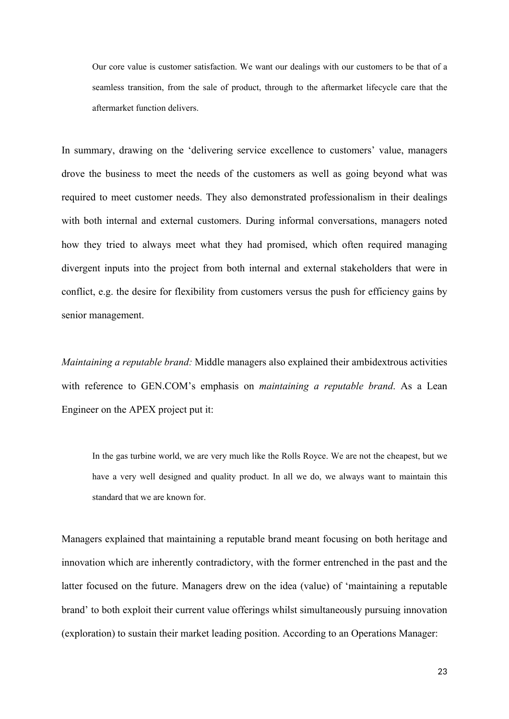Our core value is customer satisfaction. We want our dealings with our customers to be that of a seamless transition, from the sale of product, through to the aftermarket lifecycle care that the aftermarket function delivers.

In summary, drawing on the 'delivering service excellence to customers' value, managers drove the business to meet the needs of the customers as well as going beyond what was required to meet customer needs. They also demonstrated professionalism in their dealings with both internal and external customers. During informal conversations, managers noted how they tried to always meet what they had promised, which often required managing divergent inputs into the project from both internal and external stakeholders that were in conflict, e.g. the desire for flexibility from customers versus the push for efficiency gains by senior management.

*Maintaining a reputable brand:* Middle managers also explained their ambidextrous activities with reference to GEN.COM's emphasis on *maintaining a reputable brand*. As a Lean Engineer on the APEX project put it:

In the gas turbine world, we are very much like the Rolls Royce. We are not the cheapest, but we have a very well designed and quality product. In all we do, we always want to maintain this standard that we are known for.

Managers explained that maintaining a reputable brand meant focusing on both heritage and innovation which are inherently contradictory, with the former entrenched in the past and the latter focused on the future. Managers drew on the idea (value) of 'maintaining a reputable brand' to both exploit their current value offerings whilst simultaneously pursuing innovation (exploration) to sustain their market leading position. According to an Operations Manager: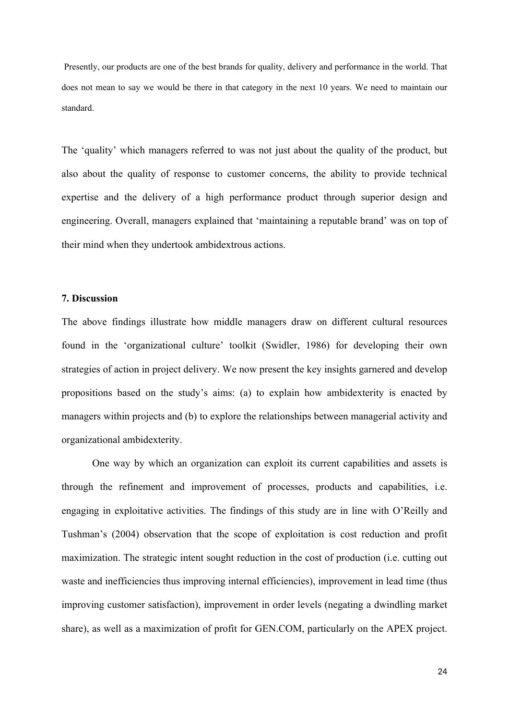Presently, our products are one of the best brands for quality, delivery and performance in the world. That does not mean to say we would be there in that category in the next 10 years. We need to maintain our standard.

The 'quality' which managers referred to was not just about the quality of the product, but also about the quality of response to customer concerns, the ability to provide technical expertise and the delivery of a high performance product through superior design and engineering. Overall, managers explained that 'maintaining a reputable brand' was on top of their mind when they undertook ambidextrous actions.

#### **7. Discussion**

The above findings illustrate how middle managers draw on different cultural resources found in the 'organizational culture' toolkit (Swidler, 1986) for developing their own strategies of action in project delivery. We now present the key insights garnered and develop propositions based on the study's aims: (a) to explain how ambidexterity is enacted by managers within projects and (b) to explore the relationships between managerial activity and organizational ambidexterity.

One way by which an organization can exploit its current capabilities and assets is through the refinement and improvement of processes, products and capabilities, i.e. engaging in exploitative activities. The findings of this study are in line with O'Reilly and Tushman's (2004) observation that the scope of exploitation is cost reduction and profit maximization. The strategic intent sought reduction in the cost of production (i.e. cutting out waste and inefficiencies thus improving internal efficiencies), improvement in lead time (thus improving customer satisfaction), improvement in order levels (negating a dwindling market share), as well as a maximization of profit for GEN.COM, particularly on the APEX project.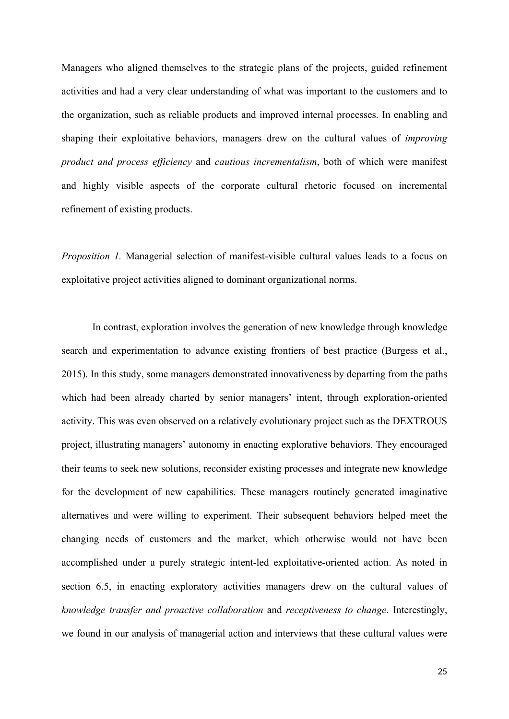Managers who aligned themselves to the strategic plans of the projects, guided refinement activities and had a very clear understanding of what was important to the customers and to the organization, such as reliable products and improved internal processes. In enabling and shaping their exploitative behaviors, managers drew on the cultural values of *improving product and process efficiency* and *cautious incrementalism*, both of which were manifest and highly visible aspects of the corporate cultural rhetoric focused on incremental refinement of existing products.

*Proposition 1.* Managerial selection of manifest-visible cultural values leads to a focus on exploitative project activities aligned to dominant organizational norms.

In contrast, exploration involves the generation of new knowledge through knowledge search and experimentation to advance existing frontiers of best practice (Burgess et al., 2015). In this study, some managers demonstrated innovativeness by departing from the paths which had been already charted by senior managers' intent, through exploration-oriented activity. This was even observed on a relatively evolutionary project such as the DEXTROUS project, illustrating managers' autonomy in enacting explorative behaviors. They encouraged their teams to seek new solutions, reconsider existing processes and integrate new knowledge for the development of new capabilities. These managers routinely generated imaginative alternatives and were willing to experiment. Their subsequent behaviors helped meet the changing needs of customers and the market, which otherwise would not have been accomplished under a purely strategic intent-led exploitative-oriented action. As noted in section 6.5, in enacting exploratory activities managers drew on the cultural values of *knowledge transfer and proactive collaboration* and *receptiveness to change*. Interestingly, we found in our analysis of managerial action and interviews that these cultural values were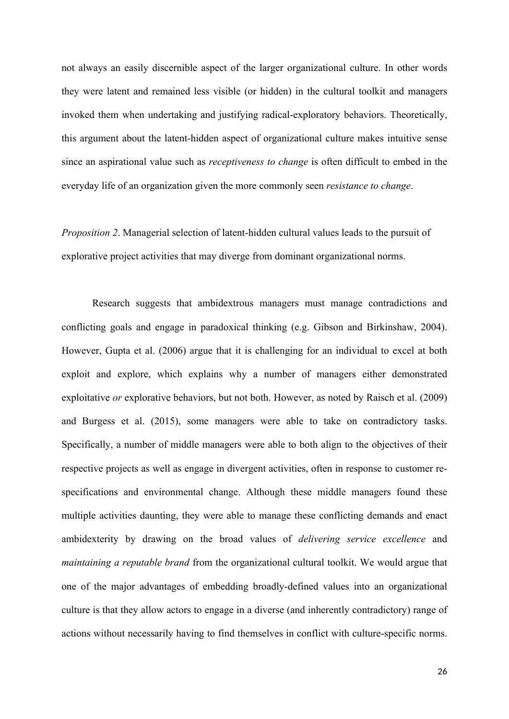not always an easily discernible aspect of the larger organizational culture. In other words they were latent and remained less visible (or hidden) in the cultural toolkit and managers invoked them when undertaking and justifying radical-exploratory behaviors. Theoretically, this argument about the latent-hidden aspect of organizational culture makes intuitive sense since an aspirational value such as *receptiveness to change* is often difficult to embed in the everyday life of an organization given the more commonly seen *resistance to change*.

*Proposition 2*. Managerial selection of latent-hidden cultural values leads to the pursuit of explorative project activities that may diverge from dominant organizational norms.

Research suggests that ambidextrous managers must manage contradictions and conflicting goals and engage in paradoxical thinking (e.g. Gibson and Birkinshaw, 2004). However, Gupta et al. (2006) argue that it is challenging for an individual to excel at both exploit and explore, which explains why a number of managers either demonstrated exploitative *or* explorative behaviors, but not both. However, as noted by Raisch et al. (2009) and Burgess et al. (2015), some managers were able to take on contradictory tasks. Specifically, a number of middle managers were able to both align to the objectives of their respective projects as well as engage in divergent activities, often in response to customer respecifications and environmental change. Although these middle managers found these multiple activities daunting, they were able to manage these conflicting demands and enact ambidexterity by drawing on the broad values of *delivering service excellence* and *maintaining a reputable brand* from the organizational cultural toolkit. We would argue that one of the major advantages of embedding broadly-defined values into an organizational culture is that they allow actors to engage in a diverse (and inherently contradictory) range of actions without necessarily having to find themselves in conflict with culture-specific norms.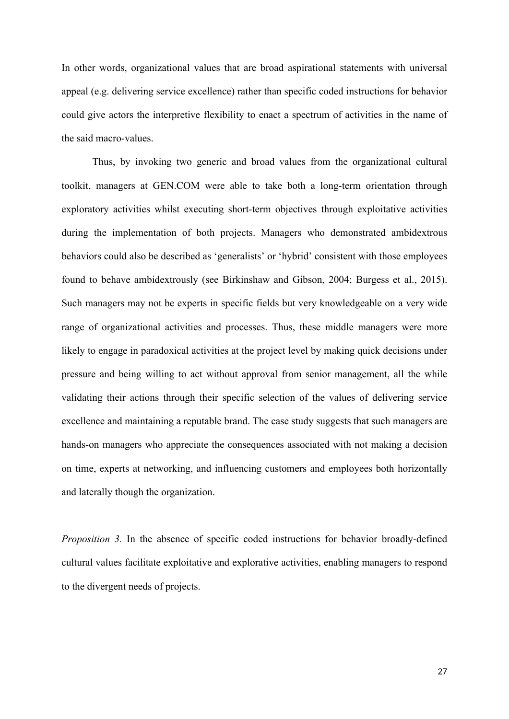In other words, organizational values that are broad aspirational statements with universal appeal (e.g. delivering service excellence) rather than specific coded instructions for behavior could give actors the interpretive flexibility to enact a spectrum of activities in the name of the said macro-values.

Thus, by invoking two generic and broad values from the organizational cultural toolkit, managers at GEN.COM were able to take both a long-term orientation through exploratory activities whilst executing short-term objectives through exploitative activities during the implementation of both projects. Managers who demonstrated ambidextrous behaviors could also be described as 'generalists' or 'hybrid' consistent with those employees found to behave ambidextrously (see Birkinshaw and Gibson, 2004; Burgess et al., 2015). Such managers may not be experts in specific fields but very knowledgeable on a very wide range of organizational activities and processes. Thus, these middle managers were more likely to engage in paradoxical activities at the project level by making quick decisions under pressure and being willing to act without approval from senior management, all the while validating their actions through their specific selection of the values of delivering service excellence and maintaining a reputable brand. The case study suggests that such managers are hands-on managers who appreciate the consequences associated with not making a decision on time, experts at networking, and influencing customers and employees both horizontally and laterally though the organization.

*Proposition 3.* In the absence of specific coded instructions for behavior broadly-defined cultural values facilitate exploitative and explorative activities, enabling managers to respond to the divergent needs of projects.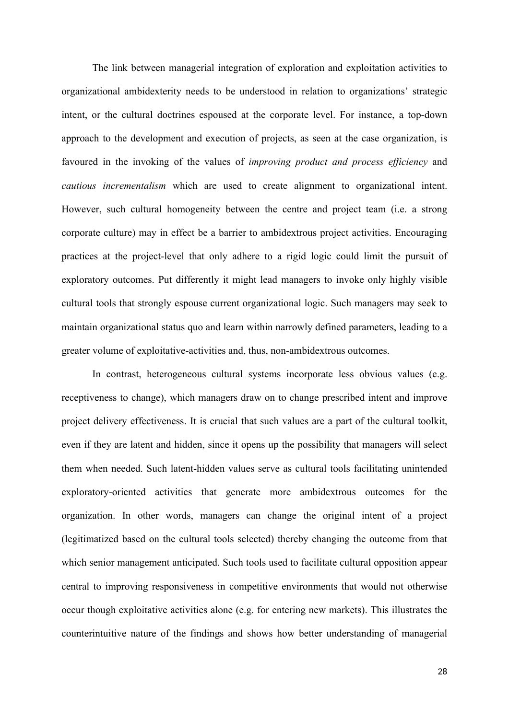The link between managerial integration of exploration and exploitation activities to organizational ambidexterity needs to be understood in relation to organizations' strategic intent, or the cultural doctrines espoused at the corporate level. For instance, a top-down approach to the development and execution of projects, as seen at the case organization, is favoured in the invoking of the values of *improving product and process efficiency* and *cautious incrementalism* which are used to create alignment to organizational intent. However, such cultural homogeneity between the centre and project team (i.e. a strong corporate culture) may in effect be a barrier to ambidextrous project activities. Encouraging practices at the project-level that only adhere to a rigid logic could limit the pursuit of exploratory outcomes. Put differently it might lead managers to invoke only highly visible cultural tools that strongly espouse current organizational logic. Such managers may seek to maintain organizational status quo and learn within narrowly defined parameters, leading to a greater volume of exploitative-activities and, thus, non-ambidextrous outcomes.

In contrast, heterogeneous cultural systems incorporate less obvious values (e.g. receptiveness to change), which managers draw on to change prescribed intent and improve project delivery effectiveness. It is crucial that such values are a part of the cultural toolkit, even if they are latent and hidden, since it opens up the possibility that managers will select them when needed. Such latent-hidden values serve as cultural tools facilitating unintended exploratory-oriented activities that generate more ambidextrous outcomes for the organization. In other words, managers can change the original intent of a project (legitimatized based on the cultural tools selected) thereby changing the outcome from that which senior management anticipated. Such tools used to facilitate cultural opposition appear central to improving responsiveness in competitive environments that would not otherwise occur though exploitative activities alone (e.g. for entering new markets). This illustrates the counterintuitive nature of the findings and shows how better understanding of managerial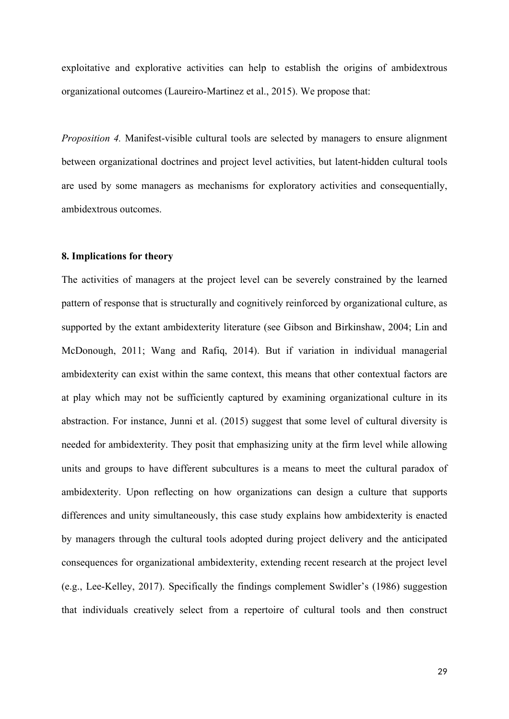exploitative and explorative activities can help to establish the origins of ambidextrous organizational outcomes (Laureiro-Martinez et al., 2015). We propose that:

*Proposition 4.* Manifest-visible cultural tools are selected by managers to ensure alignment between organizational doctrines and project level activities, but latent-hidden cultural tools are used by some managers as mechanisms for exploratory activities and consequentially, ambidextrous outcomes.

#### **8. Implications for theory**

The activities of managers at the project level can be severely constrained by the learned pattern of response that is structurally and cognitively reinforced by organizational culture, as supported by the extant ambidexterity literature (see Gibson and Birkinshaw, 2004; Lin and McDonough, 2011; Wang and Rafiq, 2014). But if variation in individual managerial ambidexterity can exist within the same context, this means that other contextual factors are at play which may not be sufficiently captured by examining organizational culture in its abstraction. For instance, Junni et al. (2015) suggest that some level of cultural diversity is needed for ambidexterity. They posit that emphasizing unity at the firm level while allowing units and groups to have different subcultures is a means to meet the cultural paradox of ambidexterity. Upon reflecting on how organizations can design a culture that supports differences and unity simultaneously, this case study explains how ambidexterity is enacted by managers through the cultural tools adopted during project delivery and the anticipated consequences for organizational ambidexterity, extending recent research at the project level (e.g., Lee-Kelley, 2017). Specifically the findings complement Swidler's (1986) suggestion that individuals creatively select from a repertoire of cultural tools and then construct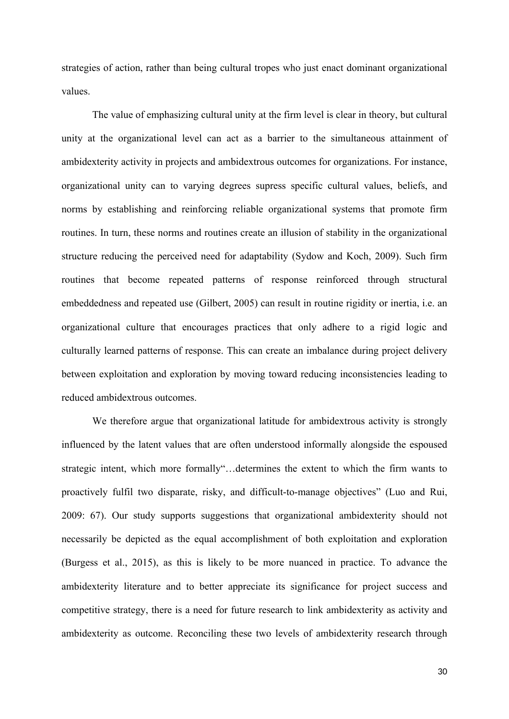strategies of action, rather than being cultural tropes who just enact dominant organizational values.

The value of emphasizing cultural unity at the firm level is clear in theory, but cultural unity at the organizational level can act as a barrier to the simultaneous attainment of ambidexterity activity in projects and ambidextrous outcomes for organizations. For instance, organizational unity can to varying degrees supress specific cultural values, beliefs, and norms by establishing and reinforcing reliable organizational systems that promote firm routines. In turn, these norms and routines create an illusion of stability in the organizational structure reducing the perceived need for adaptability (Sydow and Koch, 2009). Such firm routines that become repeated patterns of response reinforced through structural embeddedness and repeated use (Gilbert, 2005) can result in routine rigidity or inertia, i.e. an organizational culture that encourages practices that only adhere to a rigid logic and culturally learned patterns of response. This can create an imbalance during project delivery between exploitation and exploration by moving toward reducing inconsistencies leading to reduced ambidextrous outcomes.

We therefore argue that organizational latitude for ambidextrous activity is strongly influenced by the latent values that are often understood informally alongside the espoused strategic intent, which more formally"…determines the extent to which the firm wants to proactively fulfil two disparate, risky, and difficult-to-manage objectives" (Luo and Rui, 2009: 67). Our study supports suggestions that organizational ambidexterity should not necessarily be depicted as the equal accomplishment of both exploitation and exploration (Burgess et al., 2015), as this is likely to be more nuanced in practice. To advance the ambidexterity literature and to better appreciate its significance for project success and competitive strategy, there is a need for future research to link ambidexterity as activity and ambidexterity as outcome. Reconciling these two levels of ambidexterity research through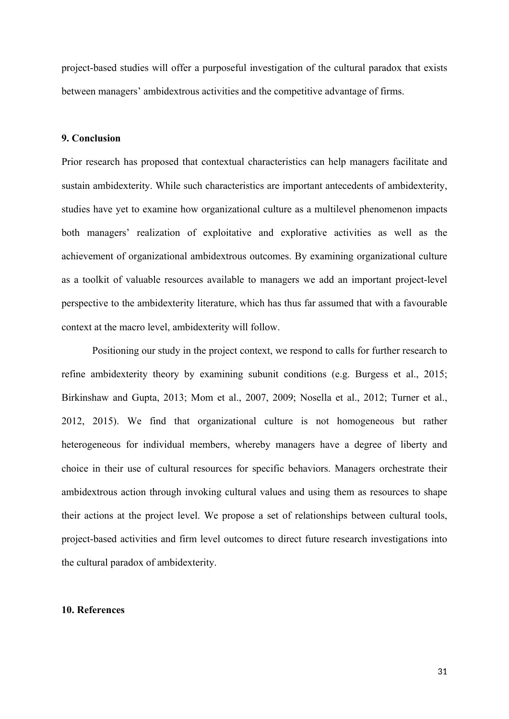project-based studies will offer a purposeful investigation of the cultural paradox that exists between managers' ambidextrous activities and the competitive advantage of firms.

#### **9. Conclusion**

Prior research has proposed that contextual characteristics can help managers facilitate and sustain ambidexterity. While such characteristics are important antecedents of ambidexterity, studies have yet to examine how organizational culture as a multilevel phenomenon impacts both managers' realization of exploitative and explorative activities as well as the achievement of organizational ambidextrous outcomes. By examining organizational culture as a toolkit of valuable resources available to managers we add an important project-level perspective to the ambidexterity literature, which has thus far assumed that with a favourable context at the macro level, ambidexterity will follow.

Positioning our study in the project context, we respond to calls for further research to refine ambidexterity theory by examining subunit conditions (e.g. Burgess et al., 2015; Birkinshaw and Gupta, 2013; Mom et al., 2007, 2009; Nosella et al., 2012; Turner et al., 2012, 2015). We find that organizational culture is not homogeneous but rather heterogeneous for individual members, whereby managers have a degree of liberty and choice in their use of cultural resources for specific behaviors. Managers orchestrate their ambidextrous action through invoking cultural values and using them as resources to shape their actions at the project level. We propose a set of relationships between cultural tools, project-based activities and firm level outcomes to direct future research investigations into the cultural paradox of ambidexterity.

#### **10. References**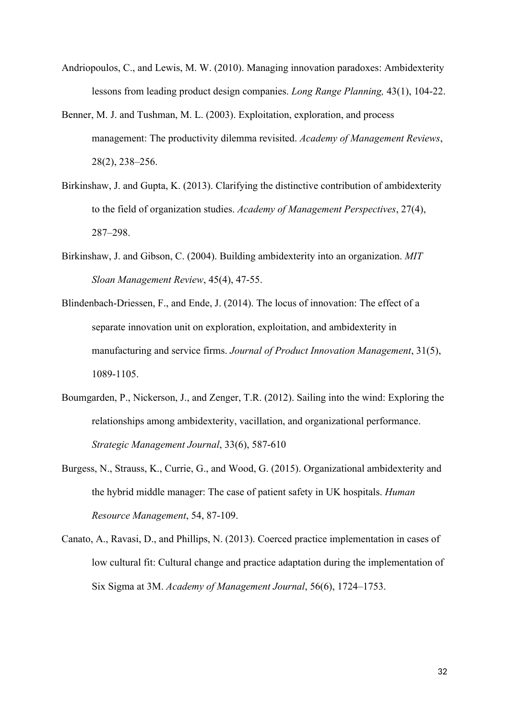- Andriopoulos, C., and Lewis, M. W. (2010). Managing innovation paradoxes: Ambidexterity lessons from leading product design companies. *Long Range Planning,* 43(1), 104-22.
- Benner, M. J. and Tushman, M. L. (2003). Exploitation, exploration, and process management: The productivity dilemma revisited. *Academy of Management Reviews*, 28(2), 238–256.
- Birkinshaw, J. and Gupta, K. (2013). Clarifying the distinctive contribution of ambidexterity to the field of organization studies. *Academy of Management Perspectives*, 27(4), 287–298.
- Birkinshaw, J. and Gibson, C. (2004). Building ambidexterity into an organization. *MIT Sloan Management Review*, 45(4), 47-55.
- Blindenbach-Driessen, F., and Ende, J. (2014). The locus of innovation: The effect of a separate innovation unit on exploration, exploitation, and ambidexterity in manufacturing and service firms. *Journal of Product Innovation Management*, 31(5), 1089-1105.
- Boumgarden, P., Nickerson, J., and Zenger, T.R. (2012). Sailing into the wind: Exploring the relationships among ambidexterity, vacillation, and organizational performance. *Strategic Management Journal*, 33(6), 587-610
- Burgess, N., Strauss, K., Currie, G., and Wood, G. (2015). Organizational ambidexterity and the hybrid middle manager: The case of patient safety in UK hospitals. *Human Resource Management*, 54, 87-109.
- Canato, A., Ravasi, D., and Phillips, N. (2013). Coerced practice implementation in cases of low cultural fit: Cultural change and practice adaptation during the implementation of Six Sigma at 3M. *Academy of Management Journal*, 56(6), 1724–1753.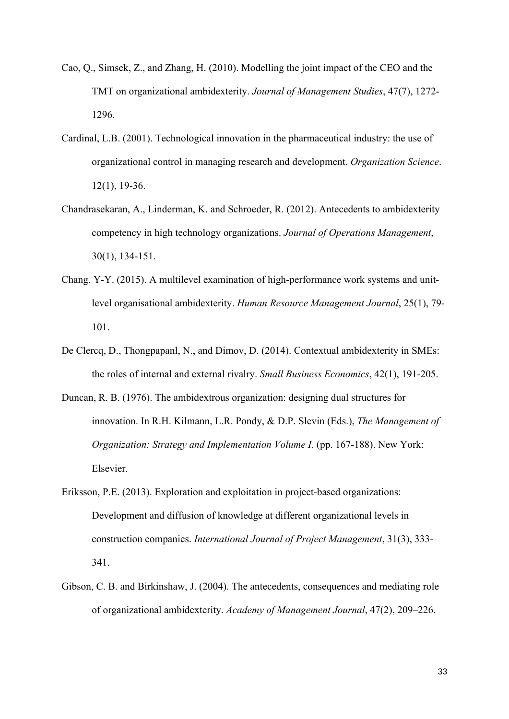- Cao, Q., Simsek, Z., and Zhang, H. (2010). Modelling the joint impact of the CEO and the TMT on organizational ambidexterity. *Journal of Management Studies*, 47(7), 1272- 1296.
- Cardinal, L.B. (2001). Technological innovation in the pharmaceutical industry: the use of organizational control in managing research and development. *Organization Science*. 12(1), 19-36.
- Chandrasekaran, A., Linderman, K. and Schroeder, R. (2012). Antecedents to ambidexterity competency in high technology organizations. *Journal of Operations Management*, 30(1), 134-151.
- Chang, Y-Y. (2015). A multilevel examination of high-performance work systems and unitlevel organisational ambidexterity. *Human Resource Management Journal*, 25(1), 79- 101.
- De Clercq, D., Thongpapanl, N., and Dimov, D. (2014). Contextual ambidexterity in SMEs: the roles of internal and external rivalry. *Small Business Economics*, 42(1), 191-205.
- Duncan, R. B. (1976). The ambidextrous organization: designing dual structures for innovation. In R.H. Kilmann, L.R. Pondy, & D.P. Slevin (Eds.), *The Management of Organization: Strategy and Implementation Volume I*. (pp. 167-188). New York: Elsevier.
- Eriksson, P.E. (2013). Exploration and exploitation in project-based organizations: Development and diffusion of knowledge at different organizational levels in construction companies. *International Journal of Project Management*, 31(3), 333- 341.
- Gibson, C. B. and Birkinshaw, J. (2004). The antecedents, consequences and mediating role of organizational ambidexterity. *Academy of Management Journal*, 47(2), 209–226.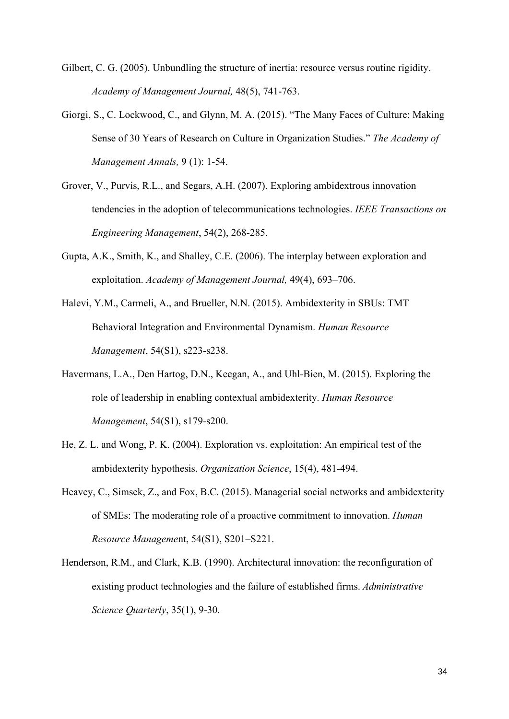- Gilbert, C. G. (2005). Unbundling the structure of inertia: resource versus routine rigidity. *Academy of Management Journal,* 48(5), 741-763.
- Giorgi, S., C. Lockwood, C., and Glynn, M. A. (2015). "The Many Faces of Culture: Making Sense of 30 Years of Research on Culture in Organization Studies." *The Academy of Management Annals,* 9 (1): 1-54.
- Grover, V., Purvis, R.L., and Segars, A.H. (2007). Exploring ambidextrous innovation tendencies in the adoption of telecommunications technologies. *IEEE Transactions on Engineering Management*, 54(2), 268-285.
- Gupta, A.K., Smith, K., and Shalley, C.E. (2006). The interplay between exploration and exploitation. *Academy of Management Journal,* 49(4), 693–706.
- Halevi, Y.M., Carmeli, A., and Brueller, N.N. (2015). Ambidexterity in SBUs: TMT Behavioral Integration and Environmental Dynamism. *Human Resource Management*, 54(S1), s223-s238.
- Havermans, L.A., Den Hartog, D.N., Keegan, A., and Uhl-Bien, M. (2015). Exploring the role of leadership in enabling contextual ambidexterity. *Human Resource Management*, 54(S1), s179-s200.
- He, Z. L. and Wong, P. K. (2004). Exploration vs. exploitation: An empirical test of the ambidexterity hypothesis. *Organization Science*, 15(4), 481-494.
- Heavey, C., Simsek, Z., and Fox, B.C. (2015). Managerial social networks and ambidexterity of SMEs: The moderating role of a proactive commitment to innovation. *Human Resource Manageme*nt, 54(S1), S201–S221.
- Henderson, R.M., and Clark, K.B. (1990). Architectural innovation: the reconfiguration of existing product technologies and the failure of established firms. *Administrative Science Quarterly*, 35(1), 9-30.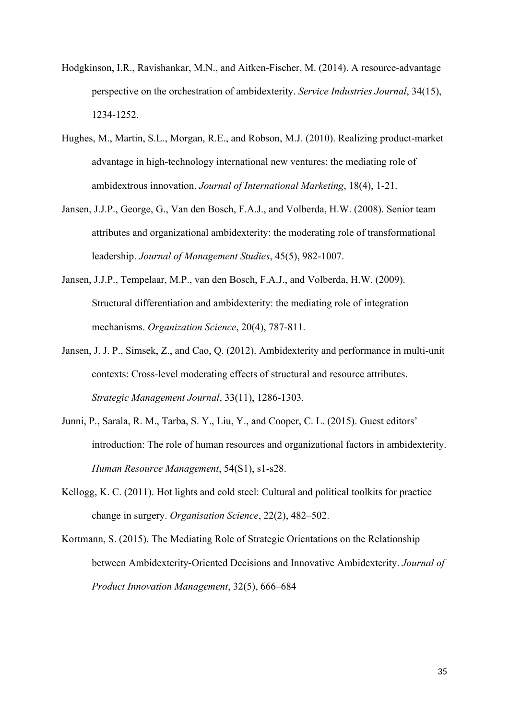- Hodgkinson, I.R., Ravishankar, M.N., and Aitken-Fischer, M. (2014). A resource-advantage perspective on the orchestration of ambidexterity. *Service Industries Journal*, 34(15), 1234-1252.
- Hughes, M., Martin, S.L., Morgan, R.E., and Robson, M.J. (2010). Realizing product-market advantage in high-technology international new ventures: the mediating role of ambidextrous innovation. *Journal of International Marketing*, 18(4), 1-21.
- Jansen, J.J.P., George, G., Van den Bosch, F.A.J., and Volberda, H.W. (2008). Senior team attributes and organizational ambidexterity: the moderating role of transformational leadership. *Journal of Management Studies*, 45(5), 982-1007.
- Jansen, J.J.P., Tempelaar, M.P., van den Bosch, F.A.J., and Volberda, H.W. (2009). Structural differentiation and ambidexterity: the mediating role of integration mechanisms. *Organization Science*, 20(4), 787-811.
- Jansen, J. J. P., Simsek, Z., and Cao, Q. (2012). Ambidexterity and performance in multi-unit contexts: Cross-level moderating effects of structural and resource attributes. *Strategic Management Journal*, 33(11), 1286-1303.
- Junni, P., Sarala, R. M., Tarba, S. Y., Liu, Y., and Cooper, C. L. (2015). Guest editors' introduction: The role of human resources and organizational factors in ambidexterity. *Human Resource Management*, 54(S1), s1-s28.
- Kellogg, K. C. (2011). Hot lights and cold steel: Cultural and political toolkits for practice change in surgery. *Organisation Science*, 22(2), 482–502.
- Kortmann, S. (2015). The Mediating Role of Strategic Orientations on the Relationship between Ambidexterity‐Oriented Decisions and Innovative Ambidexterity. *Journal of Product Innovation Management*, 32(5), 666–684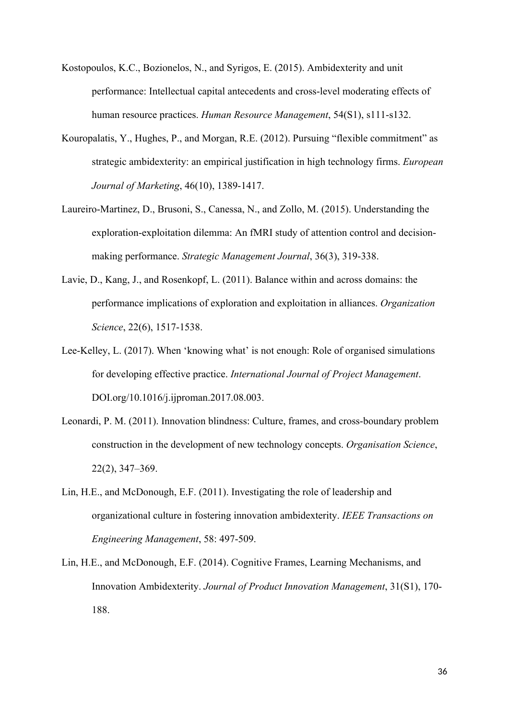- Kostopoulos, K.C., Bozionelos, N., and Syrigos, E. (2015). Ambidexterity and unit performance: Intellectual capital antecedents and cross-level moderating effects of human resource practices. *Human Resource Management*, 54(S1), s111-s132.
- Kouropalatis, Y., Hughes, P., and Morgan, R.E. (2012). Pursuing "flexible commitment" as strategic ambidexterity: an empirical justification in high technology firms. *European Journal of Marketing*, 46(10), 1389-1417.
- Laureiro-Martinez, D., Brusoni, S., Canessa, N., and Zollo, M. (2015). Understanding the exploration-exploitation dilemma: An fMRI study of attention control and decisionmaking performance. *Strategic Management Journal*, 36(3), 319-338.
- Lavie, D., Kang, J., and Rosenkopf, L. (2011). Balance within and across domains: the performance implications of exploration and exploitation in alliances. *Organization Science*, 22(6), 1517-1538.
- Lee-Kelley, L. (2017). When 'knowing what' is not enough: Role of organised simulations for developing effective practice. *International Journal of Project Management*. DOI.org/10.1016/j.ijproman.2017.08.003.
- Leonardi, P. M. (2011). Innovation blindness: Culture, frames, and cross-boundary problem construction in the development of new technology concepts. *Organisation Science*, 22(2), 347–369.
- Lin, H.E., and McDonough, E.F. (2011). Investigating the role of leadership and organizational culture in fostering innovation ambidexterity. *IEEE Transactions on Engineering Management*, 58: 497-509.
- Lin, H.E., and McDonough, E.F. (2014). Cognitive Frames, Learning Mechanisms, and Innovation Ambidexterity. *Journal of Product Innovation Management*, 31(S1), 170- 188.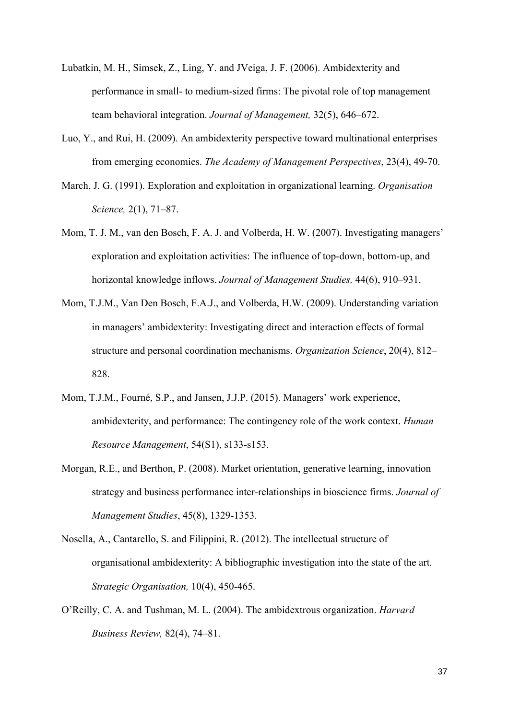- Lubatkin, M. H., Simsek, Z., Ling, Y. and JVeiga, J. F. (2006). Ambidexterity and performance in small- to medium-sized firms: The pivotal role of top management team behavioral integration. *Journal of Management,* 32(5), 646–672.
- Luo, Y., and Rui, H. (2009). An ambidexterity perspective toward multinational enterprises from emerging economies. *The Academy of Management Perspectives*, 23(4), 49-70.
- March, J. G. (1991). Exploration and exploitation in organizational learning. *Organisation Science,* 2(1), 71–87.
- Mom, T. J. M., van den Bosch, F. A. J. and Volberda, H. W. (2007). Investigating managers' exploration and exploitation activities: The influence of top-down, bottom-up, and horizontal knowledge inflows. *Journal of Management Studies,* 44(6), 910–931.
- Mom, T.J.M., Van Den Bosch, F.A.J., and Volberda, H.W. (2009). Understanding variation in managers' ambidexterity: Investigating direct and interaction effects of formal structure and personal coordination mechanisms. *Organization Science*, 20(4), 812– 828.
- Mom, T.J.M., Fourné, S.P., and Jansen, J.J.P. (2015). Managers' work experience, ambidexterity, and performance: The contingency role of the work context. *Human Resource Management*, 54(S1), s133-s153.
- Morgan, R.E., and Berthon, P. (2008). Market orientation, generative learning, innovation strategy and business performance inter-relationships in bioscience firms. *Journal of Management Studies*, 45(8), 1329-1353.
- Nosella, A., Cantarello, S. and Filippini, R. (2012). The intellectual structure of organisational ambidexterity: A bibliographic investigation into the state of the art*. Strategic Organisation,* 10(4), 450-465.
- O'Reilly, C. A. and Tushman, M. L. (2004). The ambidextrous organization. *Harvard Business Review,* 82(4), 74–81.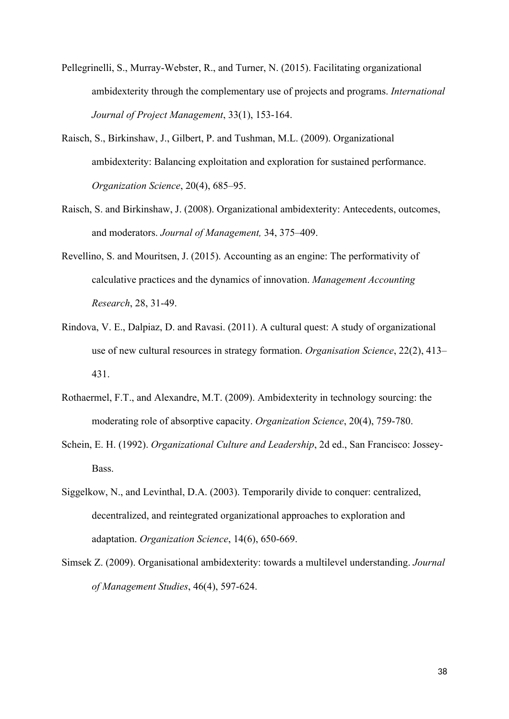- Pellegrinelli, S., Murray-Webster, R., and Turner, N. (2015). Facilitating organizational ambidexterity through the complementary use of projects and programs. *International Journal of Project Management*, 33(1), 153-164.
- Raisch, S., Birkinshaw, J., Gilbert, P. and Tushman, M.L. (2009). Organizational ambidexterity: Balancing exploitation and exploration for sustained performance. *Organization Science*, 20(4), 685–95.
- Raisch, S. and Birkinshaw, J. (2008). Organizational ambidexterity: Antecedents, outcomes, and moderators. *Journal of Management,* 34, 375–409.
- Revellino, S. and Mouritsen, J. (2015). Accounting as an engine: The performativity of calculative practices and the dynamics of innovation. *Management Accounting Research*, 28, 31-49.
- Rindova, V. E., Dalpiaz, D. and Ravasi. (2011). A cultural quest: A study of organizational use of new cultural resources in strategy formation. *Organisation Science*, 22(2), 413– 431.
- Rothaermel, F.T., and Alexandre, M.T. (2009). Ambidexterity in technology sourcing: the moderating role of absorptive capacity. *Organization Science*, 20(4), 759-780.
- Schein, E. H. (1992). *Organizational Culture and Leadership*, 2d ed., San Francisco: Jossey-Bass.
- Siggelkow, N., and Levinthal, D.A. (2003). Temporarily divide to conquer: centralized, decentralized, and reintegrated organizational approaches to exploration and adaptation. *Organization Science*, 14(6), 650-669.
- Simsek Z. (2009). Organisational ambidexterity: towards a multilevel understanding. *Journal of Management Studies*, 46(4), 597-624.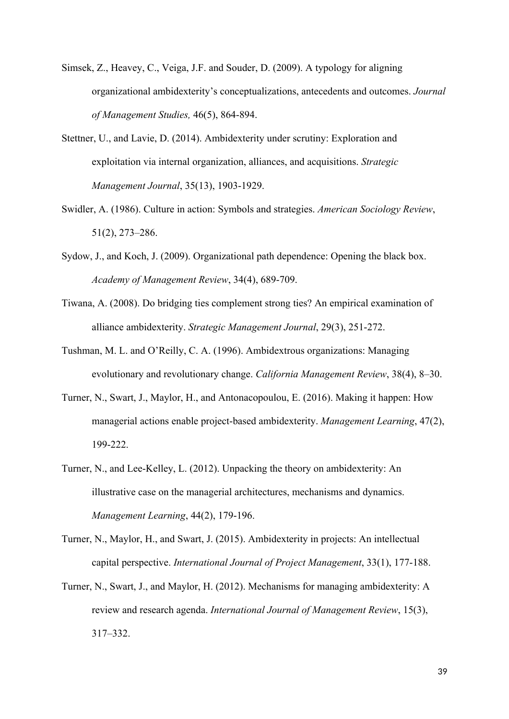- Simsek, Z., Heavey, C., Veiga, J.F. and Souder, D. (2009). A typology for aligning organizational ambidexterity's conceptualizations, antecedents and outcomes. *Journal of Management Studies,* 46(5), 864-894.
- Stettner, U., and Lavie, D. (2014). Ambidexterity under scrutiny: Exploration and exploitation via internal organization, alliances, and acquisitions. *Strategic Management Journal*, 35(13), 1903-1929.
- Swidler, A. (1986). Culture in action: Symbols and strategies. *American Sociology Review*, 51(2), 273–286.
- Sydow, J., and Koch, J. (2009). Organizational path dependence: Opening the black box. *Academy of Management Review*, 34(4), 689-709.
- Tiwana, A. (2008). Do bridging ties complement strong ties? An empirical examination of alliance ambidexterity. *Strategic Management Journal*, 29(3), 251-272.
- Tushman, M. L. and O'Reilly, C. A. (1996). Ambidextrous organizations: Managing evolutionary and revolutionary change. *California Management Review*, 38(4), 8–30.
- Turner, N., Swart, J., Maylor, H., and Antonacopoulou, E. (2016). Making it happen: How managerial actions enable project-based ambidexterity. *Management Learning*, 47(2), 199-222.
- Turner, N., and Lee-Kelley, L. (2012). Unpacking the theory on ambidexterity: An illustrative case on the managerial architectures, mechanisms and dynamics. *Management Learning*, 44(2), 179-196.
- Turner, N., Maylor, H., and Swart, J. (2015). Ambidexterity in projects: An intellectual capital perspective. *International Journal of Project Management*, 33(1), 177-188.
- Turner, N., Swart, J., and Maylor, H. (2012). Mechanisms for managing ambidexterity: A review and research agenda. *International Journal of Management Review*, 15(3), 317–332.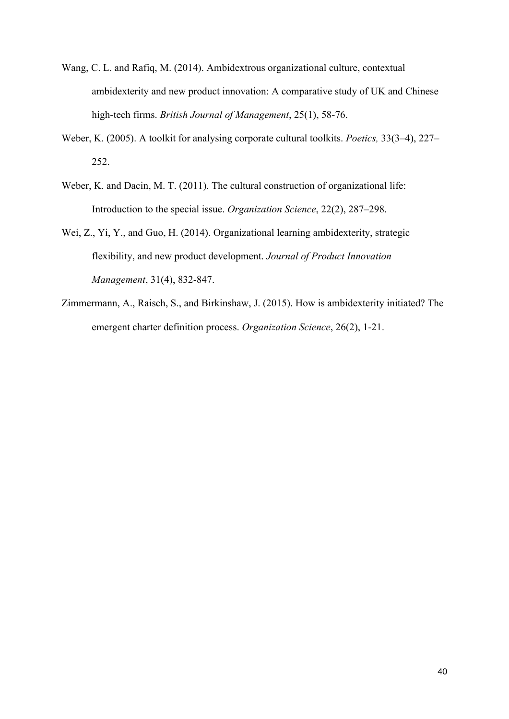- Wang, C. L. and Rafiq, M. (2014). Ambidextrous organizational culture, contextual ambidexterity and new product innovation: A comparative study of UK and Chinese high-tech firms. *British Journal of Management*, 25(1), 58-76.
- Weber, K. (2005). A toolkit for analysing corporate cultural toolkits. *Poetics,* 33(3–4), 227– 252.
- Weber, K. and Dacin, M. T. (2011). The cultural construction of organizational life: Introduction to the special issue. *Organization Science*, 22(2), 287–298.
- Wei, Z., Yi, Y., and Guo, H. (2014). Organizational learning ambidexterity, strategic flexibility, and new product development. *Journal of Product Innovation Management*, 31(4), 832-847.
- Zimmermann, A., Raisch, S., and Birkinshaw, J. (2015). How is ambidexterity initiated? The emergent charter definition process. *Organization Science*, 26(2), 1-21.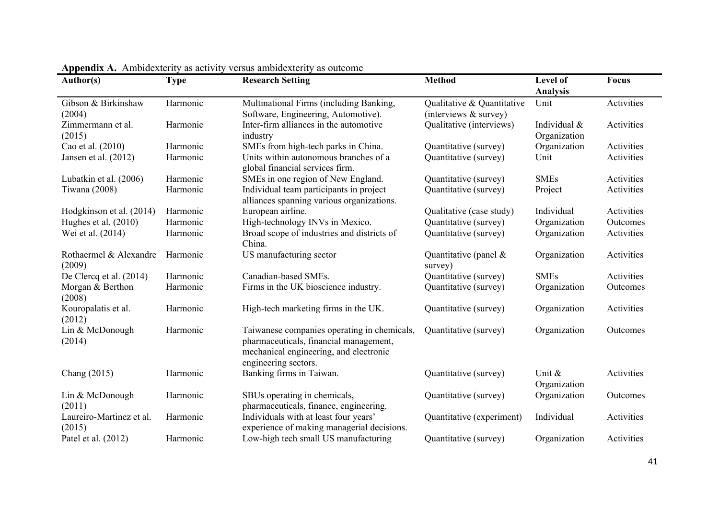| <b>Author(s)</b>                   | <b>Type</b> | verbab annotaentemy ab outcome<br><b>Research Setting</b>                                                                                               | <b>Method</b>                                       | Level of                     | <b>Focus</b> |
|------------------------------------|-------------|---------------------------------------------------------------------------------------------------------------------------------------------------------|-----------------------------------------------------|------------------------------|--------------|
|                                    |             |                                                                                                                                                         |                                                     | <b>Analysis</b>              |              |
| Gibson & Birkinshaw<br>(2004)      | Harmonic    | Multinational Firms (including Banking,<br>Software, Engineering, Automotive).                                                                          | Qualitative & Quantitative<br>(interviews & survey) | Unit                         | Activities   |
| Zimmermann et al.<br>(2015)        | Harmonic    | Inter-firm alliances in the automotive<br>industry                                                                                                      | Qualitative (interviews)                            | Individual &<br>Organization | Activities   |
| Cao et al. (2010)                  | Harmonic    | SMEs from high-tech parks in China.                                                                                                                     | Quantitative (survey)                               | Organization                 | Activities   |
| Jansen et al. $(2012)$             | Harmonic    | Units within autonomous branches of a<br>global financial services firm.                                                                                | Quantitative (survey)                               | Unit                         | Activities   |
| Lubatkin et al. (2006)             | Harmonic    | SMEs in one region of New England.                                                                                                                      | Quantitative (survey)                               | <b>SMEs</b>                  | Activities   |
| Tiwana (2008)                      | Harmonic    | Individual team participants in project<br>alliances spanning various organizations.                                                                    | Quantitative (survey)                               | Project                      | Activities   |
| Hodgkinson et al. (2014)           | Harmonic    | European airline.                                                                                                                                       | Qualitative (case study)                            | Individual                   | Activities   |
| Hughes et al. $(2010)$             | Harmonic    | High-technology INVs in Mexico.                                                                                                                         | Quantitative (survey)                               | Organization                 | Outcomes     |
| Wei et al. (2014)                  | Harmonic    | Broad scope of industries and districts of<br>China.                                                                                                    | Quantitative (survey)                               | Organization                 | Activities   |
| Rothaermel & Alexandre<br>(2009)   | Harmonic    | US manufacturing sector                                                                                                                                 | Quantitative (panel $\&$<br>survey)                 | Organization                 | Activities   |
| De Clercq et al. (2014)            | Harmonic    | Canadian-based SMEs.                                                                                                                                    | Quantitative (survey)                               | <b>SMEs</b>                  | Activities   |
| Morgan & Berthon<br>(2008)         | Harmonic    | Firms in the UK bioscience industry.                                                                                                                    | Quantitative (survey)                               | Organization                 | Outcomes     |
| Kouropalatis et al.<br>(2012)      | Harmonic    | High-tech marketing firms in the UK.                                                                                                                    | Quantitative (survey)                               | Organization                 | Activities   |
| Lin & McDonough<br>(2014)          | Harmonic    | Taiwanese companies operating in chemicals,<br>pharmaceuticals, financial management,<br>mechanical engineering, and electronic<br>engineering sectors. | Quantitative (survey)                               | Organization                 | Outcomes     |
| Chang (2015)                       | Harmonic    | Banking firms in Taiwan.                                                                                                                                | Quantitative (survey)                               | Unit &<br>Organization       | Activities   |
| Lin & McDonough<br>(2011)          | Harmonic    | SBUs operating in chemicals,<br>pharmaceuticals, finance, engineering.                                                                                  | Quantitative (survey)                               | Organization                 | Outcomes     |
| Laureiro-Martinez et al.<br>(2015) | Harmonic    | Individuals with at least four years'<br>experience of making managerial decisions.                                                                     | Quantitative (experiment)                           | Individual                   | Activities   |
| Patel et al. (2012)                | Harmonic    | Low-high tech small US manufacturing                                                                                                                    | Quantitative (survey)                               | Organization                 | Activities   |

## **Appendix A.** Ambidexterity as activity versus ambidexterity as outcome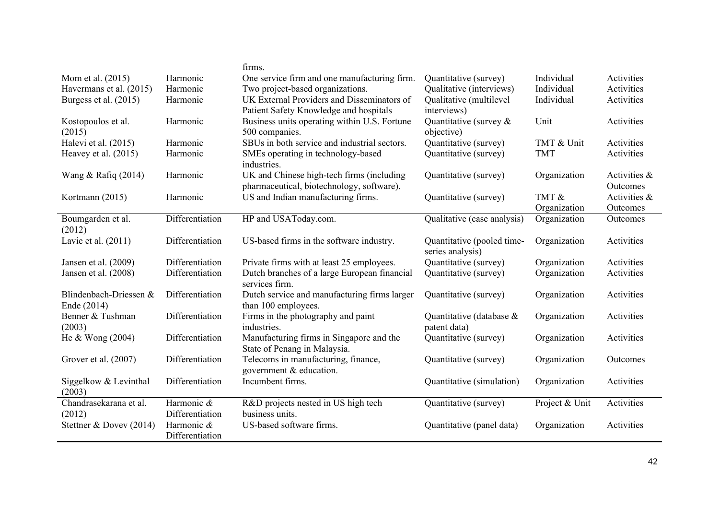|                                       |                               | firms.                                                                                 |                                                |                       |                          |
|---------------------------------------|-------------------------------|----------------------------------------------------------------------------------------|------------------------------------------------|-----------------------|--------------------------|
| Mom et al. (2015)                     | Harmonic                      | One service firm and one manufacturing firm.                                           | Quantitative (survey)                          | Individual            | Activities               |
| Havermans et al. (2015)               | Harmonic                      | Two project-based organizations.                                                       | Qualitative (interviews)                       | Individual            | Activities               |
| Burgess et al. (2015)                 | Harmonic                      | UK External Providers and Disseminators of<br>Patient Safety Knowledge and hospitals   | Qualitative (multilevel<br>interviews)         | Individual            | Activities               |
| Kostopoulos et al.<br>(2015)          | Harmonic                      | Business units operating within U.S. Fortune<br>500 companies.                         | Quantitative (survey $\&$<br>objective)        | Unit                  | Activities               |
| Halevi et al. (2015)                  | Harmonic                      | SBUs in both service and industrial sectors.                                           | Quantitative (survey)                          | TMT & Unit            | Activities               |
| Heavey et al. $(2015)$                | Harmonic                      | SMEs operating in technology-based<br>industries.                                      | Quantitative (survey)                          | <b>TMT</b>            | Activities               |
| Wang & Rafiq $(2014)$                 | Harmonic                      | UK and Chinese high-tech firms (including<br>pharmaceutical, biotechnology, software). | Quantitative (survey)                          | Organization          | Activities &<br>Outcomes |
| Kortmann (2015)                       | Harmonic                      | US and Indian manufacturing firms.                                                     | Quantitative (survey)                          | TMT &<br>Organization | Activities &<br>Outcomes |
| Boumgarden et al.<br>(2012)           | Differentiation               | HP and USAToday.com.                                                                   | Qualitative (case analysis)                    | Organization          | Outcomes                 |
| Lavie et al. $(2011)$                 | Differentiation               | US-based firms in the software industry.                                               | Quantitative (pooled time-<br>series analysis) | Organization          | Activities               |
| Jansen et al. (2009)                  | Differentiation               | Private firms with at least 25 employees.                                              | Quantitative (survey)                          | Organization          | Activities               |
| Jansen et al. (2008)                  | Differentiation               | Dutch branches of a large European financial<br>services firm.                         | Quantitative (survey)                          | Organization          | Activities               |
| Blindenbach-Driessen &<br>Ende (2014) | Differentiation               | Dutch service and manufacturing firms larger<br>than 100 employees.                    | Quantitative (survey)                          | Organization          | Activities               |
| Benner & Tushman<br>(2003)            | Differentiation               | Firms in the photography and paint<br>industries.                                      | Quantitative (database $\&$<br>patent data)    | Organization          | Activities               |
| He & Wong (2004)                      | Differentiation               | Manufacturing firms in Singapore and the<br>State of Penang in Malaysia.               | Quantitative (survey)                          | Organization          | Activities               |
| Grover et al. (2007)                  | Differentiation               | Telecoms in manufacturing, finance,<br>government & education.                         | Quantitative (survey)                          | Organization          | Outcomes                 |
| Siggelkow & Levinthal<br>(2003)       | Differentiation               | Incumbent firms.                                                                       | Quantitative (simulation)                      | Organization          | Activities               |
| Chandrasekarana et al.                | Harmonic &                    | R&D projects nested in US high tech                                                    | Quantitative (survey)                          | Project & Unit        | Activities               |
| (2012)                                | Differentiation               | business units.                                                                        |                                                |                       |                          |
| Stettner & Dovey (2014)               | Harmonic &<br>Differentiation | US-based software firms.                                                               | Quantitative (panel data)                      | Organization          | Activities               |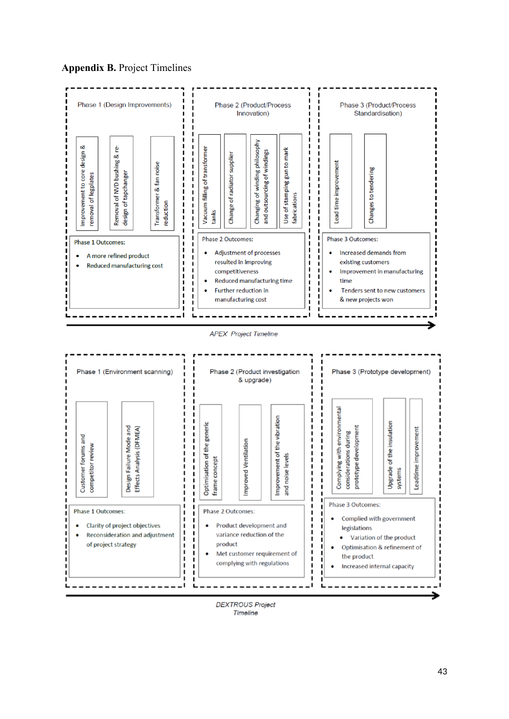



**DEXTROUS Project Timeline**